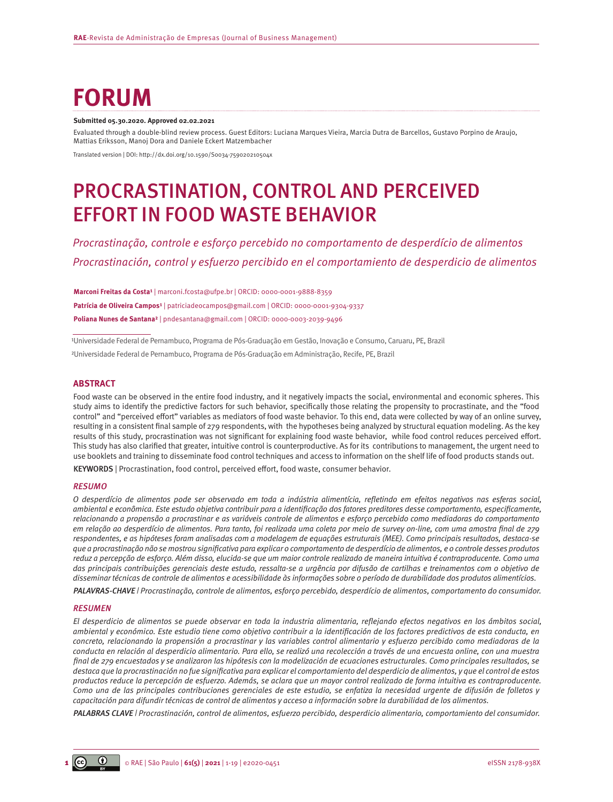# **FORUM**

#### **Submitted 05.30.2020. Approved 02.02.2021**

Evaluated through a double-blind review process. Guest Editors: Luciana Marques Vieira, Marcia Dutra de Barcellos, Gustavo Porpino de Araujo, Mattias Eriksson, Manoj Dora and Daniele Eckert Matzembacher

Translated version | DOI: [http://dx.doi.org/10.1590/S0034-759020210504x](http://dx.doi.org/10.1590/S0034-759020210504)

# PROCRASTINATION, CONTROL AND PERCEIVED EFFORT IN FOOD WASTE BEHAVIOR

*Procrastinação, controle e esforço percebido no comportamento de desperdício de alimentos Procrastinación, control y esfuerzo percibido en el comportamiento de desperdicio de alimentos*

**Marconi Freitas da Costa¹** | [marconi.fcosta@ufpe.br](mailto:marconi.fcosta@ufpe.br) | ORCID: [0000-0001-9888-8359](https://orcid.org/0000-0001-9888-8359) **Patrícia de Oliveira Campos<sup>1</sup>** | [patriciadeocampos@gmail.com](mailto:patriciadeocampos@gmail.com) | ORCID: 0000-0001-9304-9337 **Poliana Nunes de Santana²** | [pndesantana@gmail.com](mailto:pndesantana@gmail.com) | ORCID: [0000-0003-2039-9496](https://orcid.org/0000-0003-2039-9496)

1Universidade Federal de Pernambuco, Programa de Pós-Graduação em Gestão, Inovação e Consumo, Caruaru, PE, Brazil ²Universidade Federal de Pernambuco, Programa de Pós-Graduação em Administração, Recife, PE, Brazil

#### **ABSTRACT**

Food waste can be observed in the entire food industry, and it negatively impacts the social, environmental and economic spheres. This study aims to identify the predictive factors for such behavior, specifically those relating the propensity to procrastinate, and the "food control" and "perceived effort" variables as mediators of food waste behavior. To this end, data were collected by way of an online survey, resulting in a consistent final sample of 279 respondents, with the hypotheses being analyzed by structural equation modeling. As the key results of this study, procrastination was not significant for explaining food waste behavior, while food control reduces perceived effort. This study has also clarified that greater, intuitive control is counterproductive. As for its contributions to management, the urgent need to use booklets and training to disseminate food control techniques and access to information on the shelf life of food products stands out.

KEYWORDS | Procrastination, food control, perceived effort, food waste, consumer behavior.

#### *RESUMO*

*O desperdício de alimentos pode ser observado em toda a indústria alimentícia, refletindo em efeitos negativos nas esferas social, ambiental e econômica. Este estudo objetiva contribuir para a identificação dos fatores preditores desse comportamento, especificamente, relacionando a propensão a procrastinar e as variáveis controle de alimentos e esforço percebido como mediadoras do comportamento em relação ao desperdício de alimentos. Para tanto, foi realizada uma coleta por meio de survey on-line, com uma amostra final de 279 respondentes, e as hipóteses foram analisadas com a modelagem de equações estruturais (MEE). Como principais resultados, destaca-se que a procrastinação não se mostrou significativa para explicar o comportamento de desperdício de alimentos, e o controle desses produtos reduz a percepção de esforço. Além disso, elucida-se que um maior controle realizado de maneira intuitiva é contraproducente. Como uma das principais contribuições gerenciais deste estudo, ressalta-se a urgência por difusão de cartilhas e treinamentos com o objetivo de disseminar técnicas de controle de alimentos e acessibilidade às informações sobre o período de durabilidade dos produtos alimentícios.*

*PALAVRAS-CHAVE | Procrastinação, controle de alimentos, esforço percebido, desperdício de alimentos, comportamento do consumidor.*

#### *RESUMEN*

*El desperdicio de alimentos se puede observar en toda la industria alimentaria, reflejando efectos negativos en los ámbitos social, ambiental y económico. Este estudio tiene como objetivo contribuir a la identificación de los factores predictivos de esta conducta, en concreto, relacionando la propensión a procrastinar y las variables control alimentario y esfuerzo percibido como mediadoras de la conducta en relación al desperdicio alimentario. Para ello, se realizó una recolección a través de una encuesta online, con una muestra final de 279 encuestados y se analizaron las hipótesis con la modelización de ecuaciones estructurales. Como principales resultados, se destaca que la procrastinación no fue significativa para explicar el comportamiento del desperdicio de alimentos, y que el control de estos productos reduce la percepción de esfuerzo. Además, se aclara que un mayor control realizado de forma intuitiva es contraproducente. Como una de las principales contribuciones gerenciales de este estudio, se enfatiza la necesidad urgente de difusión de folletos y capacitación para difundir técnicas de control de alimentos y acceso a información sobre la durabilidad de los alimentos.*

*PALABRAS CLAVE | Procrastinación, control de alimentos, esfuerzo percibido, desperdicio alimentario, comportamiento del consumidor.*

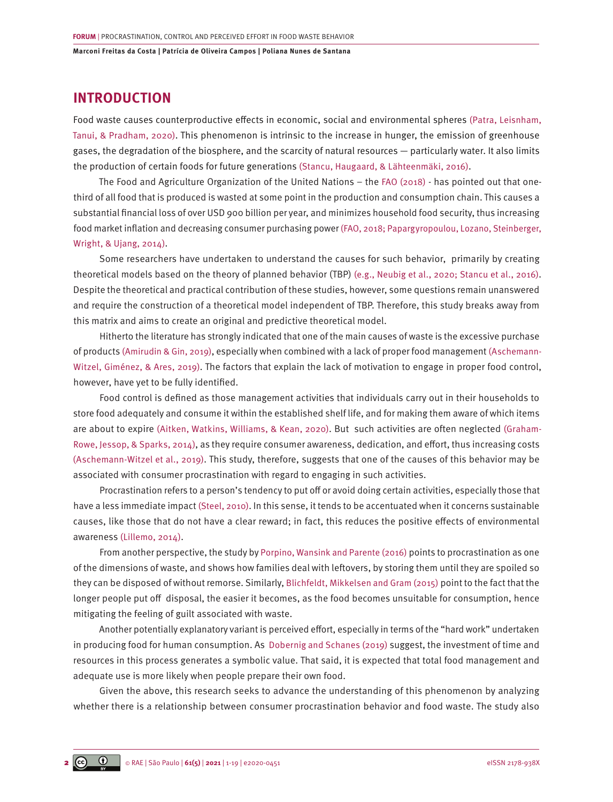# **INTRODUCTION**

Food waste causes counterproductive effects in economic, social and environmental spheres [\(Patra, Leisnham,](#page-17-0) [Tanui, & Pradham, 2020\)](#page-17-0). This phenomenon is intrinsic to the increase in hunger, the emission of greenhouse gases, the degradation of the biosphere, and the scarcity of natural resources — particularly water. It also limits the production of certain foods for future generations [\(Stancu, Haugaard, & Lähteenmäki, 2016\)](#page-18-0).

The Food and Agriculture Organization of the United Nations – the [FAO \(2018\)](#page-16-0) - has pointed out that onethird of all food that is produced is wasted at some point in the production and consumption chain. This causes a substantial financial loss of over USD 900 billion per year, and minimizes household food security, thus increasing food market inflation and decreasing consumer purchasing power [\(FAO, 2018; Papargyropoulou, Lozano, Steinberger,](#page-16-0) [Wright, & Ujang, 2014\)](#page-16-0).

Some researchers have undertaken to understand the causes for such behavior, primarily by creating theoretical models based on the theory of planned behavior (TBP) [\(e.g., Neubig et al., 2020; Stancu et al., 2016\)](#page-17-0). Despite the theoretical and practical contribution of these studies, however, some questions remain unanswered and require the construction of a theoretical model independent of TBP. Therefore, this study breaks away from this matrix and aims to create an original and predictive theoretical model.

Hitherto the literature has strongly indicated that one of the main causes of waste is the excessive purchase of products [\(Amirudin & Gin, 2019\),](#page-16-0) especially when combined with a lack of proper food management [\(Aschemann-](#page-16-0)[Witzel, Giménez, & Ares, 2019\)](#page-16-0). The factors that explain the lack of motivation to engage in proper food control, however, have yet to be fully identified.

Food control is defined as those management activities that individuals carry out in their households to store food adequately and consume it within the established shelf life, and for making them aware of which items are about to expire [\(Aitken, Watkins, Williams, & Kean, 2020\).](#page-15-0) But such activities are often neglected [\(Graham-](#page-18-0)[Rowe, Jessop, & Sparks, 2014\),](#page-18-0) as they require consumer awareness, dedication, and effort, thus increasing costs [\(Aschemann-Witzel et al., 2019\)](#page-15-0). This study, therefore, suggests that one of the causes of this behavior may be associated with consumer procrastination with regard to engaging in such activities.

Procrastination refers to a person's tendency to put off or avoid doing certain activities, especially those that have a less immediate impact [\(Steel, 2010\).](#page-18-0) In this sense, it tends to be accentuated when it concerns sustainable causes, like those that do not have a clear reward; in fact, this reduces the positive effects of environmental awareness [\(Lillemo, 2014\).](#page-17-0)

From another perspective, the study by [Porpino, Wansink and Parente \(2016\)](#page-17-0) points to procrastination as one of the dimensions of waste, and shows how families deal with leftovers, by storing them until they are spoiled so they can be disposed of without remorse. Similarly, [Blichfeldt, Mikkelsen and Gram \(2015\)](#page-16-0) point to the fact that the longer people put off disposal, the easier it becomes, as the food becomes unsuitable for consumption, hence mitigating the feeling of guilt associated with waste.

Another potentially explanatory variant is perceived effort, especially in terms of the "hard work" undertaken in producing food for human consumption. As [Dobernig and Schanes \(2019\)](#page-16-0) suggest, the investment of time and resources in this process generates a symbolic value. That said, it is expected that total food management and adequate use is more likely when people prepare their own food.

Given the above, this research seeks to advance the understanding of this phenomenon by analyzing whether there is a relationship between consumer procrastination behavior and food waste. The study also

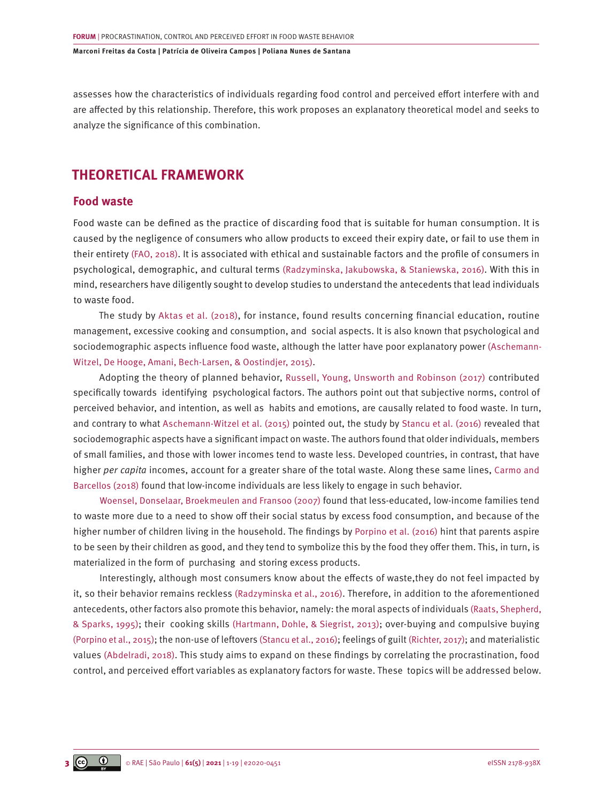assesses how the characteristics of individuals regarding food control and perceived effort interfere with and are affected by this relationship. Therefore, this work proposes an explanatory theoretical model and seeks to analyze the significance of this combination.

# **THEORETICAL FRAMEWORK**

# **Food waste**

Food waste can be defined as the practice of discarding food that is suitable for human consumption. It is caused by the negligence of consumers who allow products to exceed their expiry date, or fail to use them in their entirety [\(FAO, 2018\).](#page-16-0) It is associated with ethical and sustainable factors and the profile of consumers in psychological, demographic, and cultural terms [\(Radzyminska, Jakubowska, & Staniewska, 2016\).](#page-17-0) With this in mind, researchers have diligently sought to develop studies to understand the antecedents that lead individuals to waste food.

The study by [Aktas et al. \(2018\)](#page-15-0), for instance, found results concerning financial education, routine management, excessive cooking and consumption, and social aspects. It is also known that psychological and sociodemographic aspects influence food waste, although the latter have poor explanatory power [\(Aschemann-](#page-16-0)[Witzel, De Hooge, Amani, Bech-Larsen, & Oostindjer, 2015\).](#page-16-0)

Adopting the theory of planned behavior, [Russell, Young, Unsworth and Robinson \(2017\)](#page-18-0) contributed specifically towards identifying psychological factors. The authors point out that subjective norms, control of perceived behavior, and intention, as well as habits and emotions, are causally related to food waste. In turn, and contrary to what [Aschemann-Witzel et al. \(2015\)](#page-16-0) pointed out, the study by [Stancu et al. \(2016\)](#page-18-0) revealed that sociodemographic aspects have a significant impact on waste. The authors found that older individuals, members of small families, and those with lower incomes tend to waste less. Developed countries, in contrast, that have higher *per capita* incomes, account for a greater share of the total waste. Along these same lines, [Carmo and](#page-16-0) [Barcellos \(2018\)](#page-16-0) found that low-income individuals are less likely to engage in such behavior.

[Woensel, Donselaar, Broekmeulen and Fransoo \(2007\)](#page-18-0) found that less-educated, low-income families tend to waste more due to a need to show off their social status by excess food consumption, and because of the higher number of children living in the household. The findings b[y Porpino et al. \(2016\)](#page-17-0) hint that parents aspire to be seen by their children as good, and they tend to symbolize this by the food they offer them. This, in turn, is materialized in the form of purchasing and storing excess products.

Interestingly, although most consumers know about the effects of waste,they do not feel impacted by it, so their behavior remains reckless [\(Radzyminska et al., 2016\).](#page-17-0) Therefore, in addition to the aforementioned antecedents, other factors also promote this behavior, namely: the moral aspects of individuals [\(Raats, Shepherd,](#page-17-0) [& Sparks, 1995\);](#page-17-0) their cooking skills [\(Hartmann, Dohle, & Siegrist, 2013\)](#page-16-0); over-buying and compulsive buying [\(Porpino et al., 2015\);](#page-17-0) the non-use of leftovers [\(Stancu et al., 2016\);](#page-18-0) feelings of guilt [\(Richter, 2017\);](#page-17-0) and materialistic values [\(Abdelradi, 2018\).](#page-15-0) This study aims to expand on these findings by correlating the procrastination, food control, and perceived effort variables as explanatory factors for waste. These topics will be addressed below.

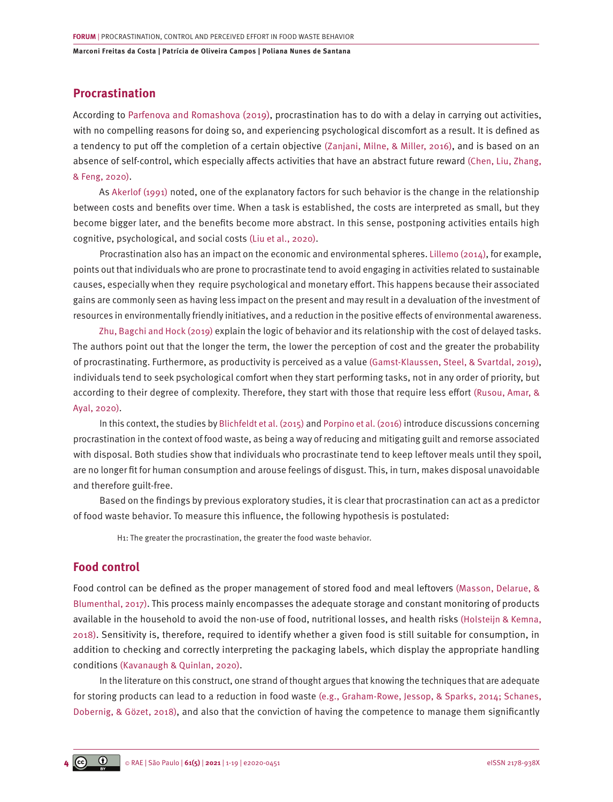# **Procrastination**

According to [Parfenova](https://www.emerald.com/insight/search?q=Angelina Parfenova) and [Romashova](https://www.emerald.com/insight/search?q=Sofya Romashova) (2019), procrastination has to do with a delay in carrying out activities, with no compelling reasons for doing so, and experiencing psychological discomfort as a result. It is defined as a tendency to put off the completion of a certain objective [\(Zanjani, Milne, & Miller, 2016\)](#page-18-0), and is based on an absence of self-control, which especially affects activities that have an abstract future reward [\(Chen, Liu, Zhang,](#page-16-0) [& Feng, 2020\)](#page-16-0).

As [Akerlof \(1991\)](#page-15-0) noted, one of the explanatory factors for such behavior is the change in the relationship between costs and benefits over time. When a task is established, the costs are interpreted as small, but they become bigger later, and the benefits become more abstract. In this sense, postponing activities entails high cognitive, psychological, and social costs [\(Liu et al., 2020\).](#page-17-0)

Procrastination also has an impact on the economic and environmental spheres. [Lillemo \(2014\)](#page-17-0), for example, points out that individuals who are prone to procrastinate tend to avoid engaging in activities related to sustainable causes, especially when they require psychological and monetary effort. This happens because their associated gains are commonly seen as having less impact on the present and may result in a devaluation of the investment of resources in environmentally friendly initiatives, and a reduction in the positive effects of environmental awareness.

[Zhu, Bagchi and Hock \(2019\)](#page-18-0) explain the logic of behavior and its relationship with the cost of delayed tasks. The authors point out that the longer the term, the lower the perception of cost and the greater the probability of procrastinating. Furthermore, as productivity is perceived as a value [\(Gamst-Klaussen, Steel, & Svartdal, 2019\)](#page-16-0), individuals tend to seek psychological comfort when they start performing tasks, not in any order of priority, but according to their degree of complexity. Therefore, they start with those that require less effort [\(Rusou, Amar, &](#page-17-0) [Ayal, 2020\).](#page-17-0)

In this context, the studies by [Blichfeldt et al. \(2015\)](#page-16-0) and [Porpino et al. \(2016\)](#page-17-0) introduce discussions concerning procrastination in the context of food waste, as being a way of reducing and mitigating guilt and remorse associated with disposal. Both studies show that individuals who procrastinate tend to keep leftover meals until they spoil, are no longer fit for human consumption and arouse feelings of disgust. This, in turn, makes disposal unavoidable and therefore guilt-free.

Based on the findings by previous exploratory studies, it is clear that procrastination can act as a predictor of food waste behavior. To measure this influence, the following hypothesis is postulated:

H1: The greater the procrastination, the greater the food waste behavior.

## **Food control**

Food control can be defined as the proper management of stored food and meal leftovers [\(Masson, Delarue, &](#page-17-0) [Blumenthal, 2017\).](#page-17-0) This process mainly encompasses the adequate storage and constant monitoring of products available in the household to avoid the non-use of food, nutritional losses, and health risks [\(Holsteijn & Kemna,](#page-16-0) [2018\)](#page-16-0). Sensitivity is, therefore, required to identify whether a given food is still suitable for consumption, in addition to checking and correctly interpreting the packaging labels, which display the appropriate handling conditions [\(Kavanaugh & Quinlan, 2020\).](#page-17-0)

In the literature on this construct, one strand of thought argues that knowing the techniques that are adequate for storing products can lead to a reduction in food waste [\(e.g., Graham-Rowe, Jessop, & Sparks, 2014; Schanes,](#page-16-0) [Dobernig, & Gözet, 2018\),](#page-16-0) and also that the conviction of having the competence to manage them significantly

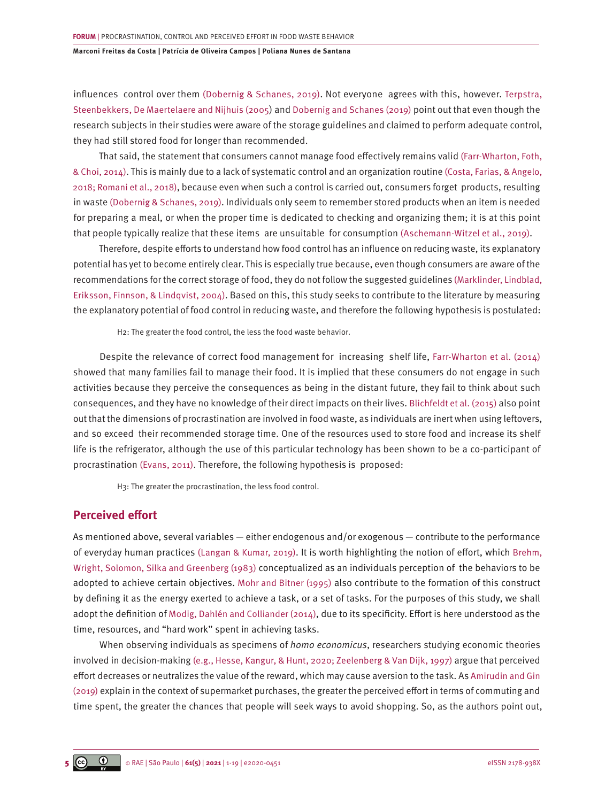influences control over them [\(Dobernig & Schanes, 2019\).](#page-16-0) Not everyone agrees with this, however. [Terpstra,](#page-18-0)  [Steenbekkers, De Maertelaere and Nijhuis \(2005\)](#page-18-0) and [Dobernig and Schanes \(2019\)](#page-16-0) point out that even though the research subjects in their studies were aware of the storage guidelines and claimed to perform adequate control, they had still stored food for longer than recommended.

That said, the statement that consumers cannot manage food effectively remains valid [\(Farr-Wharton, Foth,](#page-16-0)  [& Choi, 2014\).](#page-16-0) This is mainly due to a lack of systematic control and an organization routine [\(Costa, Farias, & Angelo,](#page-16-0)  [2018; Romani et al., 2018\),](#page-16-0) because even when such a control is carried out, consumers forget products, resulting in waste [\(Dobernig & Schanes, 2019\)](#page-16-0). Individuals only seem to remember stored products when an item is needed for preparing a meal, or when the proper time is dedicated to checking and organizing them; it is at this point that people typically realize that these items are unsuitable for consumption [\(Aschemann-Witzel et al., 2019\).](#page-16-0)

Therefore, despite efforts to understand how food control has an influence on reducing waste, its explanatory potential has yet to become entirely clear. This is especially true because, even though consumers are aware of the recommendations for the correct storage of food, they do not follow the suggested guidelines [\(Marklinder, Lindblad,](#page-17-0)  [Eriksson, Finnson, & Lindqvist, 2004\).](#page-17-0) Based on this, this study seeks to contribute to the literature by measuring the explanatory potential of food control in reducing waste, and therefore the following hypothesis is postulated:

H2: The greater the food control, the less the food waste behavior.

Despite the relevance of correct food management for increasing shelf life, [Farr-Wharton et al. \(2014\)](#page-16-0) showed that many families fail to manage their food. It is implied that these consumers do not engage in such activities because they perceive the consequences as being in the distant future, they fail to think about such consequences, and they have no knowledge of their direct impacts on their lives. [Blichfeldt et al. \(2015\)](#page-16-0) also point out that the dimensions of procrastination are involved in food waste, as individuals are inert when using leftovers, and so exceed their recommended storage time. One of the resources used to store food and increase its shelf life is the refrigerator, although the use of this particular technology has been shown to be a co-participant of procrastination [\(Evans, 2011\).](#page-16-0) Therefore, the following hypothesis is proposed:

H3: The greater the procrastination, the less food control.

### **Perceived effort**

As mentioned above, several variables — either endogenous and/or exogenous — contribute to the performance of everyday human practices [\(Langan & Kumar, 2019\)](#page-17-0). It is worth highlighting the notion of effort, which [Brehm,](#page-16-0)  [Wright, Solomon, Silka and Greenberg \(1983\)](#page-16-0) conceptualized as an individuals perception of the behaviors to be adopted to achieve certain objectives. [Mohr and Bitner \(1995\)](#page-17-0) also contribute to the formation of this construct by defining it as the energy exerted to achieve a task, or a set of tasks. For the purposes of this study, we shall adopt the definition of [Modig, Dahlén and Colliander \(2014\)](#page-17-0), due to its specificity. Effort is here understood as the time, resources, and "hard work" spent in achieving tasks.

When observing individuals as specimens of *homo economicus*, researchers studying economic theories involved in decision-making [\(e.g., Hesse, Kangur, & Hunt, 2020; Zeelenberg & Van Dijk, 1997\)](#page-16-0) argue that perceived effort decreases or neutralizes the value of the reward, which may cause aversion to the task. As [Amirudin and Gin](#page-16-0)  [\(2019\)](#page-16-0) explain in the context of supermarket purchases, the greater the perceived effort in terms of commuting and time spent, the greater the chances that people will seek ways to avoid shopping. So, as the authors point out,

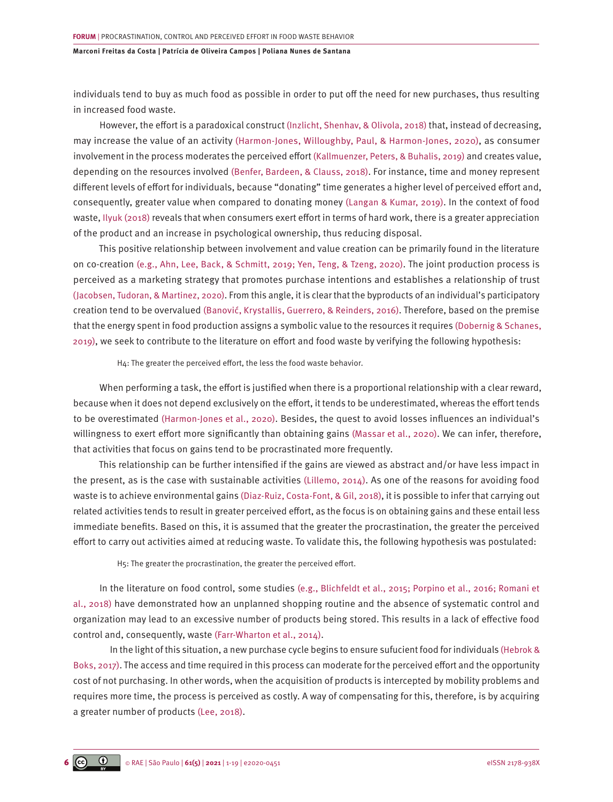individuals tend to buy as much food as possible in order to put off the need for new purchases, thus resulting in increased food waste.

However, the effort is a paradoxical construct [\(Inzlicht, Shenhav, & Olivola, 2018\)](#page-17-0) that, instead of decreasing, may increase the value of an activity [\(Harmon-Jones, Willoughby, Paul, & Harmon-Jones, 2020\)](#page-16-0), as consumer involvement in the process moderates the perceived effort [\(Kallmuenzer, Peters, & Buhalis, 2019\)](#page-17-0) and creates value, depending on the resources involved [\(Benfer, Bardeen, & Clauss, 2018\).](#page-16-0) For instance, time and money represent different levels of effort for individuals, because "donating" time generates a higher level of perceived effort and, consequently, greater value when compared to donating money [\(Langan & Kumar, 2019\).](#page-17-0) In the context of food waste, [Ilyuk \(2018\)](#page-16-0) reveals that when consumers exert effort in terms of hard work, there is a greater appreciation of the product and an increase in psychological ownership, thus reducing disposal.

This positive relationship between involvement and value creation can be primarily found in the literature on co-creation [\(e.g., Ahn, Lee, Back, & Schmitt, 2019; Yen, Teng, & Tzeng, 2020\).](#page-15-0) The joint production process is perceived as a marketing strategy that promotes purchase intentions and establishes a relationship of trust [\(Jacobsen, Tudoran, & Martinez, 2020\)](#page-17-0). From this angle, it is clear that the byproducts of an individual's participatory creation tend to be overvalued [\(Banović, Krystallis, Guerrero, & Reinders, 2016\).](#page-16-0) Therefore, based on the premise that the energy spent in food production assigns a symbolic value to the resources it requires [\(Dobernig & Schanes,](#page-16-0) [2019\),](#page-16-0) we seek to contribute to the literature on effort and food waste by verifying the following hypothesis:

H4: The greater the perceived effort, the less the food waste behavior.

When performing a task, the effort is justified when there is a proportional relationship with a clear reward, because when it does not depend exclusively on the effort, it tends to be underestimated, whereas the effort tends to be overestimated [\(Harmon-Jones et al., 2020\)](#page-16-0). Besides, the quest to avoid losses influences an individual's willingness to exert effort more significantly than obtaining gains [\(Massar et al., 2020\).](#page-17-0) We can infer, therefore, that activities that focus on gains tend to be procrastinated more frequently.

This relationship can be further intensified if the gains are viewed as abstract and/or have less impact in the present, as is the case with sustainable activities [\(Lillemo, 2014\).](#page-17-0) As one of the reasons for avoiding food waste is to achieve environmental gains [\(Diaz-Ruiz, Costa-Font, & Gil, 2018\)](#page-16-0), it is possible to infer that carrying out related activities tends to result in greater perceived effort, as the focus is on obtaining gains and these entail less immediate benefits. Based on this, it is assumed that the greater the procrastination, the greater the perceived effort to carry out activities aimed at reducing waste. To validate this, the following hypothesis was postulated:

H5: The greater the procrastination, the greater the perceived effort.

In the literature on food control, some studies [\(e.g., Blichfeldt et al., 2015; Porpino et al., 2016; Romani et](#page-16-0) [al., 2018\)](#page-16-0) have demonstrated how an unplanned shopping routine and the absence of systematic control and organization may lead to an excessive number of products being stored. This results in a lack of effective food control and, consequently, waste [\(Farr-Wharton et al., 2014\).](#page-16-0)

In the light of this situation, a new purchase cycle begins to ensure sufucient food for individuals [\(Hebrok &](#page-16-0)  [Boks, 2017\)](#page-16-0). The access and time required in this process can moderate for the perceived effort and the opportunity cost of not purchasing. In other words, when the acquisition of products is intercepted by mobility problems and requires more time, the process is perceived as costly. A way of compensating for this, therefore, is by acquiring a greater number of products [\(Lee, 2018\).](#page-17-0)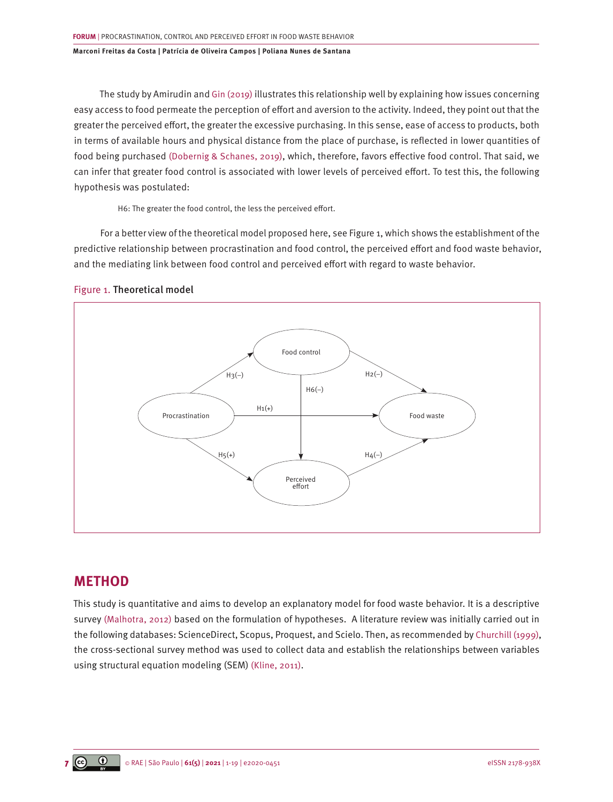The study by Amirudin and [Gin \(2019\)](#page-16-0) illustrates this relationship well by explaining how issues concerning easy access to food permeate the perception of effort and aversion to the activity. Indeed, they point out that the greater the perceived effort, the greater the excessive purchasing. In this sense, ease of access to products, both in terms of available hours and physical distance from the place of purchase, is reflected in lower quantities of food being purchased [\(Dobernig & Schanes, 2019\)](#page-16-0), which, therefore, favors effective food control. That said, we can infer that greater food control is associated with lower levels of perceived effort. To test this, the following hypothesis was postulated:

H6: The greater the food control, the less the perceived effort.

For a better view of the theoretical model proposed here, see Figure 1, which shows the establishment of the predictive relationship between procrastination and food control, the perceived effort and food waste behavior, and the mediating link between food control and perceived effort with regard to waste behavior.



Figure 1. Theoretical model

# **METHOD**

This study is quantitative and aims to develop an explanatory model for food waste behavior. It is a descriptive survey [\(Malhotra, 2012\)](#page-17-0) based on the formulation of hypotheses. A literature review was initially carried out in the following databases: ScienceDirect, Scopus, Proquest, and Scielo. Then, as recommended by [Churchill \(1999\)](#page-16-0), the cross-sectional survey method was used to collect data and establish the relationships between variables using structural equation modeling (SEM) [\(Kline, 2011\)](#page-17-0).

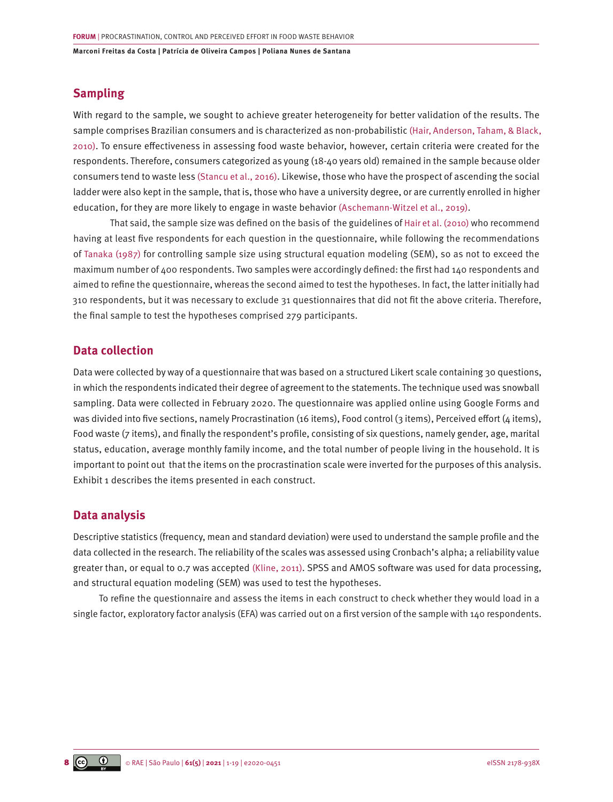## **Sampling**

With regard to the sample, we sought to achieve greater heterogeneity for better validation of the results. The sample comprises Brazilian consumers and is characterized as non-probabilistic [\(Hair, Anderson, Taham, & Black,](#page-16-0) [2010\).](#page-16-0) To ensure effectiveness in assessing food waste behavior, however, certain criteria were created for the respondents. Therefore, consumers categorized as young (18-40 years old) remained in the sample because older consumers tend to waste less [\(Stancu et al., 2016\)](#page-18-0). Likewise, those who have the prospect of ascending the social ladder were also kept in the sample, that is, those who have a university degree, or are currently enrolled in higher education, for they are more likely to engage in waste behavior [\(Aschemann-Witzel et al., 2019\).](#page-16-0)

That said, the sample size was defined on the basis of the guidelines of [Hair et al. \(2010\)](#page-16-0) who recommend having at least five respondents for each question in the questionnaire, while following the recommendations of [Tanaka \(1987\)](#page-18-0) for controlling sample size using structural equation modeling (SEM), so as not to exceed the maximum number of 400 respondents. Two samples were accordingly defined: the first had 140 respondents and aimed to refine the questionnaire, whereas the second aimed to test the hypotheses. In fact, the latter initially had 310 respondents, but it was necessary to exclude 31 questionnaires that did not fit the above criteria. Therefore, the final sample to test the hypotheses comprised 279 participants.

## **Data collection**

Data were collected by way of a questionnaire that was based on a structured Likert scale containing 30 questions, in which the respondents indicated their degree of agreement to the statements. The technique used was snowball sampling. Data were collected in February 2020. The questionnaire was applied online using Google Forms and was divided into five sections, namely Procrastination (16 items), Food control (3 items), Perceived effort (4 items), Food waste (7 items), and finally the respondent's profile, consisting of six questions, namely gender, age, marital status, education, average monthly family income, and the total number of people living in the household. It is important to point out that the items on the procrastination scale were inverted for the purposes of this analysis. Exhibit 1 describes the items presented in each construct.

### **Data analysis**

Descriptive statistics (frequency, mean and standard deviation) were used to understand the sample profile and the data collected in the research. The reliability of the scales was assessed using Cronbach's alpha; a reliability value greater than, or equal to 0.7 was accepted [\(Kline, 2011\).](#page-15-0) SPSS and AMOS software was used for data processing, and structural equation modeling (SEM) was used to test the hypotheses.

To refine the questionnaire and assess the items in each construct to check whether they would load in a single factor, exploratory factor analysis (EFA) was carried out on a first version of the sample with 140 respondents.

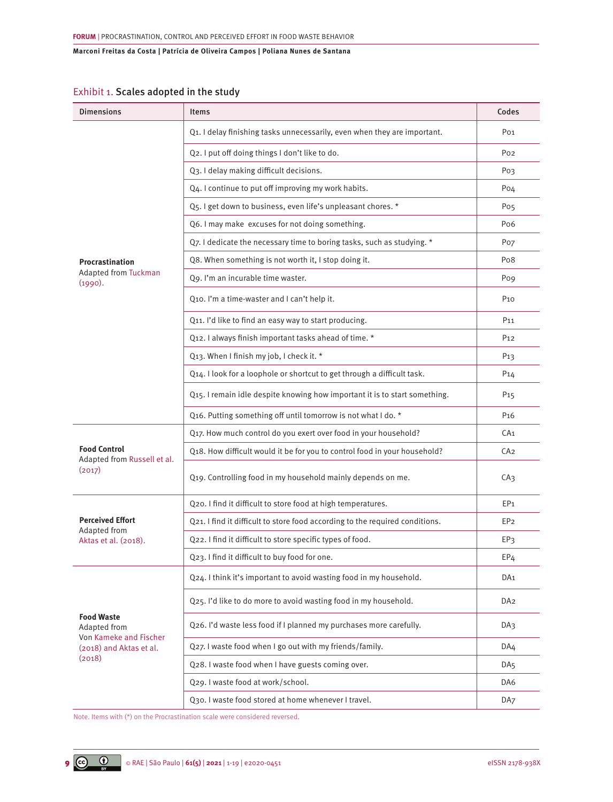# Exhibit 1. Scales adopted in the study

| <b>Dimensions</b>                                            | <b>Items</b>                                                                 | Codes           |
|--------------------------------------------------------------|------------------------------------------------------------------------------|-----------------|
|                                                              | Q1. I delay finishing tasks unnecessarily, even when they are important.     | Po <sub>1</sub> |
|                                                              | Q2. I put off doing things I don't like to do.                               | Po <sub>2</sub> |
|                                                              | Q3. I delay making difficult decisions.                                      | Po3             |
|                                                              | Q4. I continue to put off improving my work habits.                          | Po <sub>4</sub> |
|                                                              | Q5. I get down to business, even life's unpleasant chores. *                 | Po <sub>5</sub> |
|                                                              | Q6. I may make excuses for not doing something.                              | Po <sub>6</sub> |
|                                                              | Q7. I dedicate the necessary time to boring tasks, such as studying. *       | Po <sub>7</sub> |
| Procrastination                                              | Q8. When something is not worth it, I stop doing it.                         | Po <sub>8</sub> |
| <b>Adapted from Tuckman</b><br>(1990).                       | Q9. I'm an incurable time waster.                                            | Pog             |
|                                                              | Q10. I'm a time-waster and I can't help it.                                  | P <sub>10</sub> |
|                                                              | Q11. I'd like to find an easy way to start producing.                        | P <sub>11</sub> |
|                                                              | Q12. I always finish important tasks ahead of time. *                        | P <sub>12</sub> |
|                                                              | Q13. When I finish my job, I check it. *                                     | P <sub>13</sub> |
|                                                              | Q14. I look for a loophole or shortcut to get through a difficult task.      | P <sub>14</sub> |
|                                                              | Q15. I remain idle despite knowing how important it is to start something.   | P <sub>15</sub> |
|                                                              | Q16. Putting something off until tomorrow is not what I do. *                | P <sub>16</sub> |
| <b>Food Control</b><br>Adapted from Russell et al.<br>(2017) | Q17. How much control do you exert over food in your household?              | CA <sub>1</sub> |
|                                                              | Q18. How difficult would it be for you to control food in your household?    | CA <sub>2</sub> |
|                                                              | Q19. Controlling food in my household mainly depends on me.                  | CA <sub>3</sub> |
|                                                              | Q20. I find it difficult to store food at high temperatures.                 | EP <sub>1</sub> |
| <b>Perceived Effort</b>                                      | Q21. I find it difficult to store food according to the required conditions. | EP <sub>2</sub> |
| Adapted from<br>Aktas et al. (2018).                         | Q22. I find it difficult to store specific types of food.                    | EP3             |
|                                                              | Q23. I find it difficult to buy food for one.                                | EP <sub>4</sub> |
|                                                              | Q24. I think it's important to avoid wasting food in my household.           | DA <sub>1</sub> |
|                                                              | Q25. I'd like to do more to avoid wasting food in my household.              | DA <sub>2</sub> |
| <b>Food Waste</b><br>Adapted from<br>Von Kameke and Fischer  | Q26. I'd waste less food if I planned my purchases more carefully.           | DA3             |
| (2018) and Aktas et al.                                      | Q27. I waste food when I go out with my friends/family.                      | DA4             |
| (2018)                                                       | Q28. I waste food when I have guests coming over.                            | DA <sub>5</sub> |
|                                                              | Q29. I waste food at work/school.                                            | DA6             |
|                                                              | Q30. I waste food stored at home whenever I travel.                          | DA <sub>7</sub> |

Note. Items with (\*) on the Procrastination scale were considered reversed.

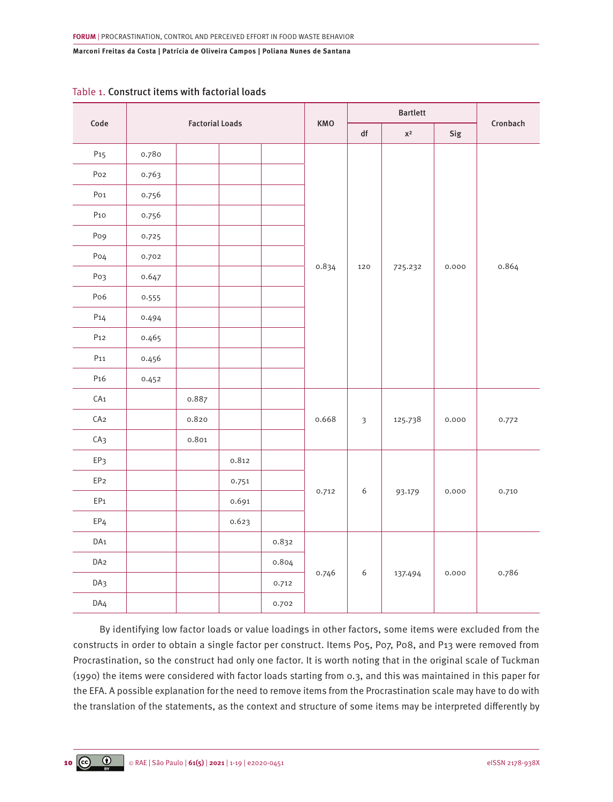|                 | Code<br><b>Factorial Loads</b> |       |       | <b>Bartlett</b> |       |                         |             |          |       |
|-----------------|--------------------------------|-------|-------|-----------------|-------|-------------------------|-------------|----------|-------|
|                 |                                |       |       | <b>KMO</b>      | df    | $\mathsf{X}^2$          | Sig         | Cronbach |       |
| P <sub>15</sub> | 0.780                          |       |       |                 |       |                         |             |          |       |
| Po <sub>2</sub> | 0.763                          |       |       |                 |       | 120                     | 725.232     | 0.000    |       |
| Po <sub>1</sub> | 0.756                          |       |       |                 |       |                         |             |          |       |
| $P_{10}$        | 0.756                          |       |       |                 |       |                         |             |          |       |
| Po <sub>9</sub> | 0.725                          |       |       |                 |       |                         |             |          |       |
| Po <sub>4</sub> | 0.702                          |       |       |                 |       |                         |             |          | 0.864 |
| Po3             | 0.647                          |       |       |                 | 0.834 |                         |             |          |       |
| Po <sub>6</sub> | 0.555                          |       |       |                 |       |                         |             |          |       |
| P14             | 0.494                          |       |       |                 |       |                         |             |          |       |
| P <sub>12</sub> | 0.465                          |       |       |                 |       |                         |             |          |       |
| P <sub>11</sub> | 0.456                          |       |       |                 |       |                         |             |          |       |
| P <sub>16</sub> | 0.452                          |       |       |                 |       |                         |             |          |       |
| CA <sub>1</sub> |                                | 0.887 |       |                 |       |                         |             |          |       |
| CA2             |                                | 0.820 |       |                 | 0.668 | $\overline{\mathbf{3}}$ | 125.738     | 0.000    | 0.772 |
| CA <sub>3</sub> |                                | 0.801 |       |                 |       |                         |             |          |       |
| EP3             |                                |       | 0.812 |                 |       |                         |             |          |       |
| EP <sub>2</sub> |                                |       | 0.751 |                 |       |                         | 6<br>93.179 | 0.000    | 0.710 |
| EP <sub>1</sub> |                                |       | 0.691 |                 | 0.712 |                         |             |          |       |
| EP <sub>4</sub> |                                |       | 0.623 |                 |       |                         |             |          |       |
| DA <sub>1</sub> |                                |       |       | 0.832           |       |                         |             | 0.000    |       |
| DA <sub>2</sub> |                                |       |       | 0.804           |       |                         |             |          |       |
| DA3             |                                |       |       | 0.712           | 0.746 | 6                       | 137.494     |          | 0.786 |
| DA4             |                                |       |       | 0.702           |       |                         |             |          |       |

## Table 1. Construct items with factorial loads

By identifying low factor loads or value loadings in other factors, some items were excluded from the constructs in order to obtain a single factor per construct. Items P05, P07, P08, and P13 were removed from Procrastination, so the construct had only one factor. It is worth noting that in the original scale of Tuckman (1990) the items were considered with factor loads starting from 0.3, and this was maintained in this paper for the EFA. A possible explanation for the need to remove items from the Procrastination scale may have to do with the translation of the statements, as the context and structure of some items may be interpreted differently by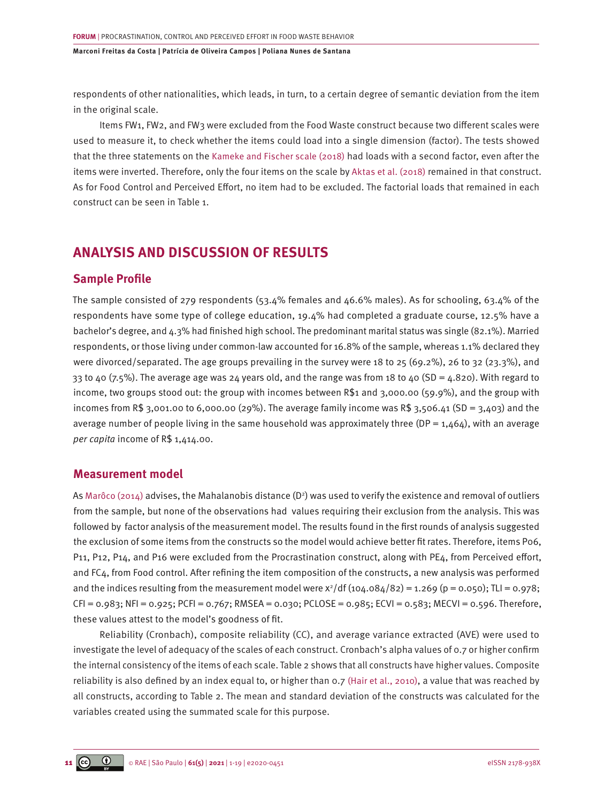respondents of other nationalities, which leads, in turn, to a certain degree of semantic deviation from the item in the original scale.

Items FW1, FW2, and FW3 were excluded from the Food Waste construct because two different scales were used to measure it, to check whether the items could load into a single dimension (factor). The tests showed that the three statements on the [Kameke and Fischer scale \(2018\)](#page-17-0) had loads with a second factor, even after the items were inverted. Therefore, only the four items on the scale by [Aktas et al. \(2018\)](#page-16-0) remained in that construct. As for Food Control and Perceived Effort, no item had to be excluded. The factorial loads that remained in each construct can be seen in Table 1.

# **ANALYSIS AND DISCUSSION OF RESULTS**

### **Sample Profile**

The sample consisted of 279 respondents (53.4% females and 46.6% males). As for schooling, 63.4% of the respondents have some type of college education, 19.4% had completed a graduate course, 12.5% have a bachelor's degree, and 4.3% had finished high school. The predominant marital status was single (82.1%). Married respondents, or those living under common-law accounted for 16.8% of the sample, whereas 1.1% declared they were divorced/separated. The age groups prevailing in the survey were 18 to 25 (69.2%), 26 to 32 (23.3%), and 33 to 40 (7.5%). The average age was 24 years old, and the range was from 18 to 40 (SD = 4.820). With regard to income, two groups stood out: the group with incomes between R\$1 and 3,000.00 (59.9%), and the group with incomes from R\$ 3,001.00 to 6,000.00 (29%). The average family income was R\$ 3,506.41 (SD = 3,403) and the average number of people living in the same household was approximately three (DP =  $1,464$ ), with an average *per capita* income of R\$ 1,414.00.

### **Measurement model**

As [Marôco \(2014\)](#page-17-0) advises, the Mahalanobis distance (D²) was used to verify the existence and removal of outliers from the sample, but none of the observations had values requiring their exclusion from the analysis. This was followed by factor analysis of the measurement model. The results found in the first rounds of analysis suggested the exclusion of some items from the constructs so the model would achieve better fit rates. Therefore, items P06, P11, P12, P14, and P16 were excluded from the Procrastination construct, along with PE4, from Perceived effort, and FC4, from Food control. After refining the item composition of the constructs, a new analysis was performed and the indices resulting from the measurement model were  $x^2/df$  (104.084/82) = 1.269 (p = 0.050); TLI = 0.978; CFI = 0.983; NFI = 0.925; PCFI = 0.767; RMSEA = 0.030; PCLOSE = 0.985; ECVI = 0.583; MECVI = 0.596. Therefore, these values attest to the model's goodness of fit.

Reliability (Cronbach), composite reliability (CC), and average variance extracted (AVE) were used to investigate the level of adequacy of the scales of each construct. Cronbach's alpha values of 0.7 or higher confirm the internal consistency of the items of each scale. Table 2 shows that all constructs have higher values. Composite reliability is also defined by an index equal to, or higher than 0.7 [\(Hair et al., 2010\),](#page-16-0) a value that was reached by all constructs, according to Table 2. The mean and standard deviation of the constructs was calculated for the variables created using the summated scale for this purpose.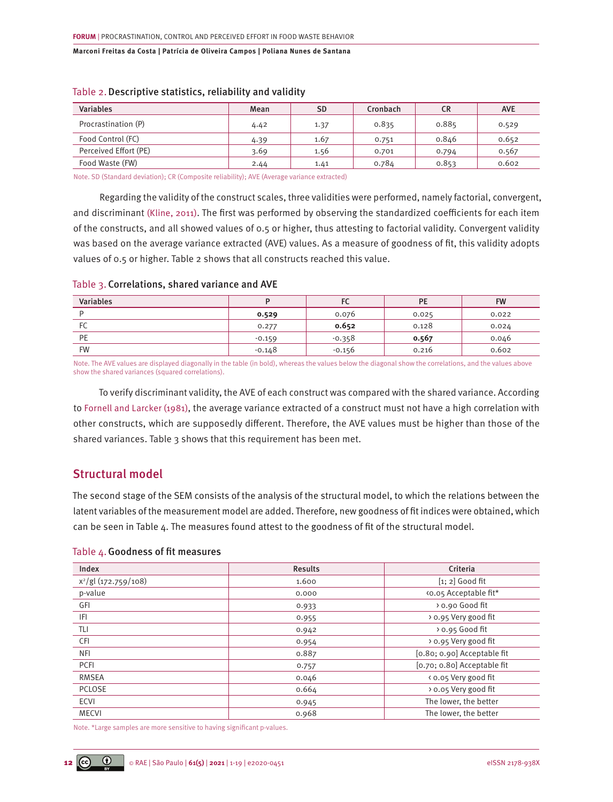| <b>Variables</b>      | Mean | <b>SD</b> | Cronbach | <b>CR</b> | <b>AVE</b> |
|-----------------------|------|-----------|----------|-----------|------------|
| Procrastination (P)   | 4.42 | 1.37      | 0.835    | 0.885     | 0.529      |
| Food Control (FC)     | 4.39 | 1.67      | 0.751    | 0.846     | 0.652      |
| Perceived Effort (PE) | 3.69 | 1.56      | 0.701    | 0.794     | 0.567      |
| Food Waste (FW)       | 2.44 | 1.41      | 0.784    | 0.853     | 0.602      |

### Table 2.Descriptive statistics, reliability and validity

Note. SD (Standard deviation); CR (Composite reliability); AVE (Average variance extracted)

Regarding the validity of the construct scales, three validities were performed, namely factorial, convergent, and discriminant [\(Kline, 2011\)](#page-17-0). The first was performed by observing the standardized coefficients for each item of the constructs, and all showed values of 0.5 or higher, thus attesting to factorial validity. Convergent validity was based on the average variance extracted (AVE) values. As a measure of goodness of fit, this validity adopts values of 0.5 or higher. Table 2 shows that all constructs reached this value.

| Table 3. Correlations, shared variance and AVE |  |  |  |
|------------------------------------------------|--|--|--|
|------------------------------------------------|--|--|--|

| <b>Variables</b> |          | $\overline{\phantom{a}}$ | PE    | <b>FW</b> |
|------------------|----------|--------------------------|-------|-----------|
|                  | 0.529    | 0.076                    | 0.025 | 0.022     |
| FC               | 0.277    | 0.652                    | 0.128 | 0.024     |
| PE               | $-0.159$ | $-0.358$                 | 0.567 | 0.046     |
| <b>FW</b>        | $-0.148$ | $-0.156$                 | 0.216 | 0.602     |

Note. The AVE values are displayed diagonally in the table (in bold), whereas the values below the diagonal show the correlations, and the values above show the shared variances (squared correlations).

To verify discriminant validity, the AVE of each construct was compared with the shared variance. According to [Fornell and Larcker \(1981\),](#page-16-0) the average variance extracted of a construct must not have a high correlation with other constructs, which are supposedly different. Therefore, the AVE values must be higher than those of the shared variances. Table 3 shows that this requirement has been met.

# Structural model

The second stage of the SEM consists of the analysis of the structural model, to which the relations between the latent variables of the measurement model are added. Therefore, new goodness of fit indices were obtained, which can be seen in Table 4. The measures found attest to the goodness of fit of the structural model.

### Table 4.Goodness of fit measures

| Index                            | <b>Results</b> | Criteria                      |  |
|----------------------------------|----------------|-------------------------------|--|
| x <sup>2</sup> /gl (172.759/108) | 1.600          | $\lceil 1; 2 \rceil$ Good fit |  |
| p-value                          | 0.000          | <0.05 Acceptable fit*         |  |
| GFI                              | 0.933          | > 0.90 Good fit               |  |
| IFI                              | 0.955          | > 0.95 Very good fit          |  |
| TLI                              | 0.942          | > 0.95 Good fit               |  |
| CFI                              | 0.954          | > 0.95 Very good fit          |  |
| <b>NFI</b>                       | 0.887          | [0.80; 0.90] Acceptable fit   |  |
| PCFI                             | 0.757          | [0.70; 0.80] Acceptable fit   |  |
| <b>RMSEA</b>                     | 0.046          | < 0.05 Very good fit          |  |
| <b>PCLOSE</b>                    | 0.664          | > 0.05 Very good fit          |  |
| <b>ECVI</b>                      | 0.945          | The lower, the better         |  |
| <b>MECVI</b>                     | 0.968          | The lower, the better         |  |

Note. \*Large samples are more sensitive to having significant p-values.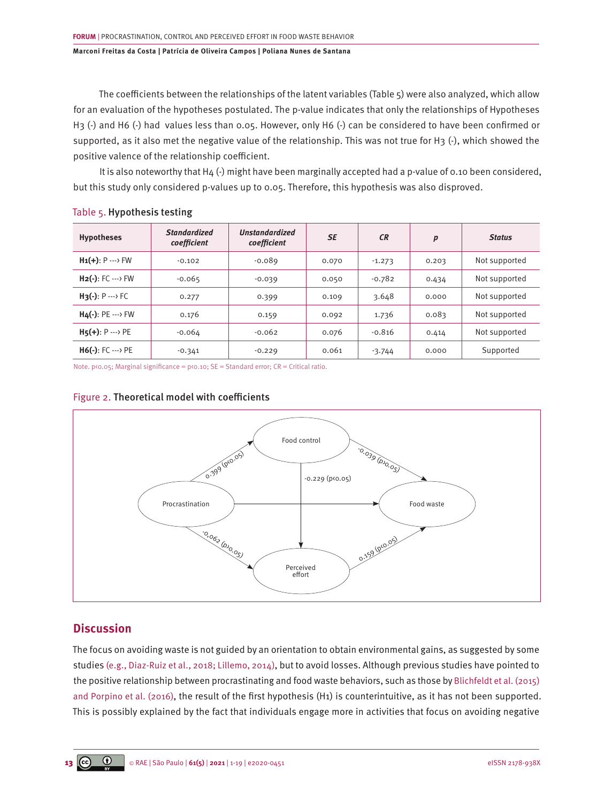The coefficients between the relationships of the latent variables (Table 5) were also analyzed, which allow for an evaluation of the hypotheses postulated. The p-value indicates that only the relationships of Hypotheses H3 (-) and H6 (-) had values less than 0.05. However, only H6 (-) can be considered to have been confirmed or supported, as it also met the negative value of the relationship. This was not true for H3 (-), which showed the positive valence of the relationship coefficient.

It is also noteworthy that H4 (-) might have been marginally accepted had a p-value of 0.10 been considered, but this study only considered p-values up to 0.05. Therefore, this hypothesis was also disproved.

| Table 5. Hypothesis testing |
|-----------------------------|

| <b>Hypotheses</b>               | <b>Standardized</b><br>coefficient | <b>Unstandardized</b><br>coefficient | <b>SE</b> | <b>CR</b> | p     | <b>Status</b> |
|---------------------------------|------------------------------------|--------------------------------------|-----------|-----------|-------|---------------|
| $H_1(+): P \longrightarrow FW$  | $-0.102$                           | $-0.089$                             | 0.070     | $-1.273$  | 0.203 | Not supported |
| $H_2(-): FC \longrightarrow FW$ | $-0.065$                           | $-0.039$                             | 0.050     | $-0.782$  | 0.434 | Not supported |
| $H_3(-): P \longrightarrow FC$  | 0.277                              | 0.399                                | 0.109     | 3.648     | 0.000 | Not supported |
| $H_4(-):$ PE $\cdots$ FW        | 0.176                              | 0.159                                | 0.092     | 1.736     | 0.083 | Not supported |
| $H5(+)$ : P  > PE               | $-0.064$                           | $-0.062$                             | 0.076     | $-0.816$  | 0.414 | Not supported |
| $H6(-): FC \longrightarrow PE$  | $-0.341$                           | $-0.229$                             | 0.061     | $-3.744$  | 0.000 | Supported     |

Note. p<0.05; Marginal significance = p<0.10; SE = Standard error; CR = Critical ratio.

# Food control Perceived effort Procrastination  $\longrightarrow$  Food waste 0.399 (pto.05) -0.229 (p<0.05) -0.039 (p>0.05) -0,062 (p)0,05) 0.159 (pco.os)

## Figure 2. Theoretical model with coefficients

# **Discussion**

The focus on avoiding waste is not guided by an orientation to obtain environmental gains, as suggested by some studie[s \(e.g., Diaz-Ruiz et al., 2018; Lillemo, 2014\),](#page-16-0) but to avoid losses. Although previous studies have pointed to the positive relationship between procrastinating and food waste behaviors, such as those by [Blichfeldt et al. \(2015\)](#page-16-0) [and Porpino et al. \(2016\),](#page-17-0) the result of the first hypothesis (H1) is counterintuitive, as it has not been supported. This is possibly explained by the fact that individuals engage more in activities that focus on avoiding negative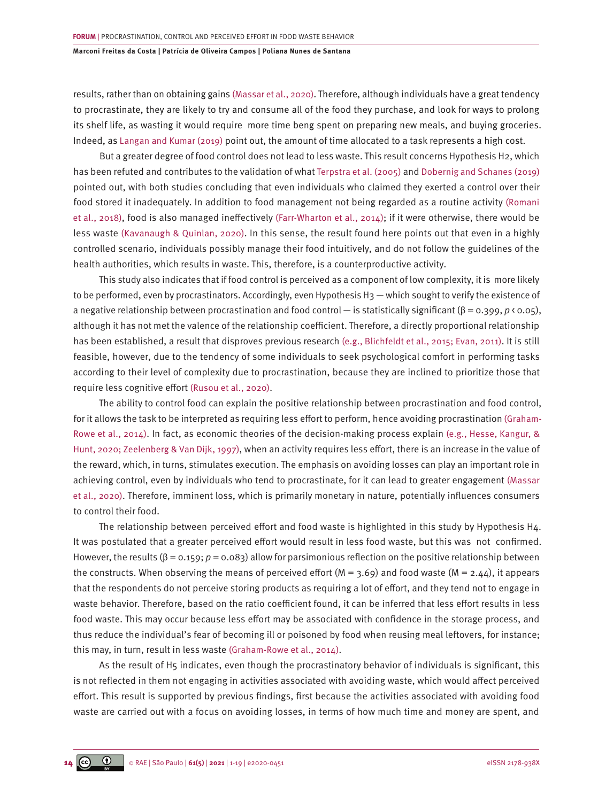results, rather than on obtaining gains [\(Massar et al., 2020\).](#page-17-0) Therefore, although individuals have a great tendency to procrastinate, they are likely to try and consume all of the food they purchase, and look for ways to prolong its shelf life, as wasting it would require more time beng spent on preparing new meals, and buying groceries. Indeed, as [Langan and Kumar \(2019\) p](#page-17-0)oint out, the amount of time allocated to a task represents a high cost.

But a greater degree of food control does not lead to less waste. This result concerns Hypothesis H2, which has been refuted and contributes to the validation of what [Terpstra et al. \(2005\)](#page-18-0) and [Dobernig and Schanes \(2019\)](#page-16-0) pointed out, with both studies concluding that even individuals who claimed they exerted a control over their food stored it inadequately. In addition to food management not being regarded as a routine activity [\(Romani](#page-17-0) [et al., 2018\)](#page-17-0), food is also managed ineffectively [\(Farr-Wharton et al., 2014\);](#page-16-0) if it were otherwise, there would be less waste [\(Kavanaugh & Quinlan, 2020\)](#page-17-0). In this sense, the result found here points out that even in a highly controlled scenario, individuals possibly manage their food intuitively, and do not follow the guidelines of the health authorities, which results in waste. This, therefore, is a counterproductive activity.

This study also indicates that if food control is perceived as a component of low complexity, it is more likely to be performed, even by procrastinators. Accordingly, even Hypothesis H<sub>3</sub> — which sought to verify the existence of a negative relationship between procrastination and food control — is statistically significant (β = 0.399, *p* < 0.05), although it has not met the valence of the relationship coefficient. Therefore, a directly proportional relationship has been established, a result that disproves previous research [\(e.g., Blichfeldt et al., 2015; Evan, 2011\)](#page-16-0). It is still feasible, however, due to the tendency of some individuals to seek psychological comfort in performing tasks according to their level of complexity due to procrastination, because they are inclined to prioritize those that require less cognitive effort [\(Rusou et al., 2020\)](#page-17-0).

The ability to control food can explain the positive relationship between procrastination and food control, for it allows the task to be interpreted as requiring less effort to perform, hence avoiding procrastination [\(Graham-](#page-16-0)[Rowe et al., 2014\)](#page-16-0). In fact, as economic theories of the decision-making process explain [\(e.g., Hesse, Kangur, &](#page-16-0) [Hunt, 2020; Zeelenberg & Van Dijk, 1997\),](#page-16-0) when an activity requires less effort, there is an increase in the value of the reward, which, in turns, stimulates execution. The emphasis on avoiding losses can play an important role in achieving control, even by individuals who tend to procrastinate, for it can lead to greater engagement [\(Massar](#page-17-0) [et al., 2020\).](#page-17-0) Therefore, imminent loss, which is primarily monetary in nature, potentially influences consumers to control their food.

The relationship between perceived effort and food waste is highlighted in this study by Hypothesis H4. It was postulated that a greater perceived effort would result in less food waste, but this was not confirmed. However, the results (β = 0.159; *p* = 0.083) allow for parsimonious reflection on the positive relationship between the constructs. When observing the means of perceived effort  $(M = 3.69)$  and food waste  $(M = 2.44)$ , it appears that the respondents do not perceive storing products as requiring a lot of effort, and they tend not to engage in waste behavior. Therefore, based on the ratio coefficient found, it can be inferred that less effort results in less food waste. This may occur because less effort may be associated with confidence in the storage process, and thus reduce the individual's fear of becoming ill or poisoned by food when reusing meal leftovers, for instance; this may, in turn, result in less waste [\(Graham-Rowe et al., 2014\)](#page-16-0).

As the result of H5 indicates, even though the procrastinatory behavior of individuals is significant, this is not reflected in them not engaging in activities associated with avoiding waste, which would affect perceived effort. This result is supported by previous findings, first because the activities associated with avoiding food waste are carried out with a focus on avoiding losses, in terms of how much time and money are spent, and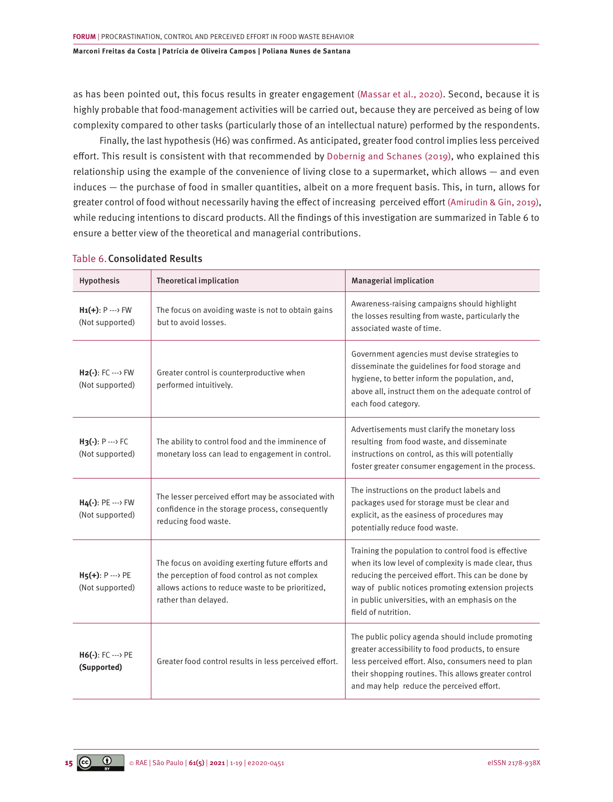as has been pointed out, this focus results in greater engagement [\(Massar et al., 2020\)](#page-17-0). Second, because it is highly probable that food-management activities will be carried out, because they are perceived as being of low complexity compared to other tasks (particularly those of an intellectual nature) performed by the respondents.

Finally, the last hypothesis (H6) was confirmed. As anticipated, greater food control implies less perceived effort. This result is consistent with that recommended by [Dobernig and Schanes \(2019\)](#page-16-0), who explained this relationship using the example of the convenience of living close to a supermarket, which allows — and even induces — the purchase of food in smaller quantities, albeit on a more frequent basis. This, in turn, allows for greater control of food without necessarily having the effect of increasing perceived effort [\(Amirudin & Gin, 2019\)](#page-16-0), while reducing intentions to discard products. All the findings of this investigation are summarized in Table 6 to ensure a better view of the theoretical and managerial contributions.

| Hypothesis                                         | Theoretical implication                                                                                                                                                         | <b>Managerial implication</b>                                                                                                                                                                                                                                                                      |
|----------------------------------------------------|---------------------------------------------------------------------------------------------------------------------------------------------------------------------------------|----------------------------------------------------------------------------------------------------------------------------------------------------------------------------------------------------------------------------------------------------------------------------------------------------|
| $H_1(+): P \longrightarrow FW$<br>(Not supported)  | The focus on avoiding waste is not to obtain gains<br>but to avoid losses.                                                                                                      | Awareness-raising campaigns should highlight<br>the losses resulting from waste, particularly the<br>associated waste of time.                                                                                                                                                                     |
| $H_2(-): FC \longrightarrow FW$<br>(Not supported) | Greater control is counterproductive when<br>performed intuitively.                                                                                                             | Government agencies must devise strategies to<br>disseminate the guidelines for food storage and<br>hygiene, to better inform the population, and,<br>above all, instruct them on the adequate control of<br>each food category.                                                                   |
| $H_3(-): P \longrightarrow FC$<br>(Not supported)  | The ability to control food and the imminence of<br>monetary loss can lead to engagement in control.                                                                            | Advertisements must clarify the monetary loss<br>resulting from food waste, and disseminate<br>instructions on control, as this will potentially<br>foster greater consumer engagement in the process.                                                                                             |
| $H4(-):$ PE $\cdots$ > FW<br>(Not supported)       | The lesser perceived effort may be associated with<br>confidence in the storage process, consequently<br>reducing food waste.                                                   | The instructions on the product labels and<br>packages used for storage must be clear and<br>explicit, as the easiness of procedures may<br>potentially reduce food waste.                                                                                                                         |
| $H_5(+): P \longrightarrow PE$<br>(Not supported)  | The focus on avoiding exerting future efforts and<br>the perception of food control as not complex<br>allows actions to reduce waste to be prioritized,<br>rather than delayed. | Training the population to control food is effective<br>when its low level of complexity is made clear, thus<br>reducing the perceived effort. This can be done by<br>way of public notices promoting extension projects<br>in public universities, with an emphasis on the<br>field of nutrition. |
| $H6(-): FC \longrightarrow PE$<br>(Supported)      | Greater food control results in less perceived effort.                                                                                                                          | The public policy agenda should include promoting<br>greater accessibility to food products, to ensure<br>less perceived effort. Also, consumers need to plan<br>their shopping routines. This allows greater control<br>and may help reduce the perceived effort.                                 |

### Table 6.Consolidated Results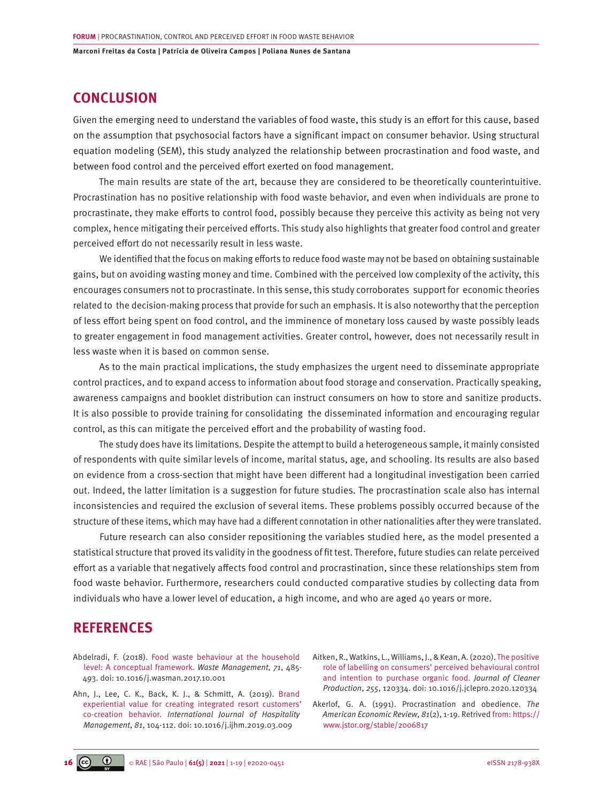# <span id="page-15-0"></span>**CONCLUSION**

Given the emerging need to understand the variables of food waste, this study is an effort for this cause, based on the assumption that psychosocial factors have a significant impact on consumer behavior. Using structural equation modeling (SEM), this study analyzed the relationship between procrastination and food waste, and between food control and the perceived effort exerted on food management.

The main results are state of the art, because they are considered to be theoretically counterintuitive. Procrastination has no positive relationship with food waste behavior, and even when individuals are prone to procrastinate, they make efforts to control food, possibly because they perceive this activity as being not very complex, hence mitigating their perceived efforts. This study also highlights that greater food control and greater perceived effort do not necessarily result in less waste.

We identified that the focus on making efforts to reduce food waste may not be based on obtaining sustainable gains, but on avoiding wasting money and time. Combined with the perceived low complexity of the activity, this encourages consumers not to procrastinate. In this sense, this study corroborates support for economic theories related to the decision-making process that provide for such an emphasis. It is also noteworthy that the perception of less effort being spent on food control, and the imminence of monetary loss caused by waste possibly leads to greater engagement in food management activities. Greater control, however, does not necessarily result in less waste when it is based on common sense.

As to the main practical implications, the study emphasizes the urgent need to disseminate appropriate control practices, and to expand access to information about food storage and conservation. Practically speaking, awareness campaigns and booklet distribution can instruct consumers on how to store and sanitize products. It is also possible to provide training for consolidating the disseminated information and encouraging regular control, as this can mitigate the perceived effort and the probability of wasting food.

The study does have its limitations. Despite the attempt to build a heterogeneous sample, it mainly consisted of respondents with quite similar levels of income, marital status, age, and schooling. Its results are also based on evidence from a cross-section that might have been different had a longitudinal investigation been carried out. Indeed, the latter limitation is a suggestion for future studies. The procrastination scale also has internal inconsistencies and required the exclusion of several items. These problems possibly occurred because of the structure of these items, which may have had a different connotation in other nationalities after they were translated.

Future research can also consider repositioning the variables studied here, as the model presented a statistical structure that proved its validity in the goodness of fit test. Therefore, future studies can relate perceived effort as a variable that negatively affects food control and procrastination, since these relationships stem from food waste behavior. Furthermore, researchers could conducted comparative studies by collecting data from individuals who have a lower level of education, a high income, and who are aged 40 years or more.

# **REFERENCES**

- [Abdelradi, F. \(2018\). Food waste behaviour at the household](https://doi.org/10.1016/j.wasman.2017.10.001)  [level: A conceptual framework.](https://doi.org/10.1016/j.wasman.2017.10.001) *Waste Management*, *71*, 485- [493. doi: 10.1016/j.wasman.2017.10.001](https://doi.org/10.1016/j.wasman.2017.10.001)
- [Ahn, J., Lee, C. K., Back, K. J., & Schmitt, A. \(2019\). Brand](https://www.sciencedirect.com/science/article/abs/pii/S0278431918308983)  [experiential value for creating integrated resort customers'](https://www.sciencedirect.com/science/article/abs/pii/S0278431918308983) co-creation behavior. *[International Journal of Hospitality](https://www.sciencedirect.com/science/article/abs/pii/S0278431918308983)  Management*, *81*[, 104-112. doi: 10.1016/j.ijhm.2019.03.009](https://www.sciencedirect.com/science/article/abs/pii/S0278431918308983)
- Aitken, R., Watkins, L., Williams, J., & Kean, A. (2020). [The positive](https://www.sciencedirect.com/science/article/abs/pii/S0959652620303814)  [role of labelling on consumers' perceived behavioural control](https://www.sciencedirect.com/science/article/abs/pii/S0959652620303814)  [and intention to purchase organic food.](https://www.sciencedirect.com/science/article/abs/pii/S0959652620303814) *[Journal of Cleaner](https://www.sciencedirect.com/science/journal/09596526) [Production](https://www.sciencedirect.com/science/journal/09596526)*, *255*, 120334. doi: [10.1016/j.jclepro.2020.120334](https://doi.org/10.1016/j.jclepro.2020.120334)
- Akerlof, G. A. (1991). Procrastination and obedience. *The American Economic Review*, *81*(2), 1-19. Retrived from: [https://](https://www.jstor.org/stable/2006817) [www.jstor.org/stable/2006817](https://www.jstor.org/stable/2006817)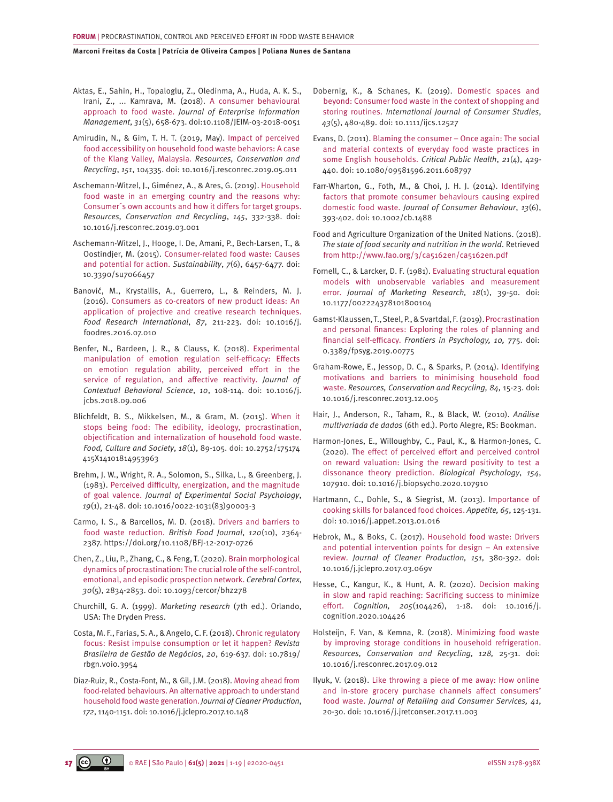- <span id="page-16-0"></span>[Aktas, E., Sahin, H., Topaloglu, Z., Oledinma, A., Huda, A. K. S.,](https://www.emerald.com/insight/content/doi/10.1108/JEIM-03-2018-0051/full/html) [Irani, Z., ... Kamrava, M. \(2018\). A consumer behavioural](https://www.emerald.com/insight/content/doi/10.1108/JEIM-03-2018-0051/full/html)  approach to food waste. *[Journal of Enterprise Information](https://www.emerald.com/insight/content/doi/10.1108/JEIM-03-2018-0051/full/html)  Management*, *31*[\(5\), 658-673. doi:10.1108/JEIM-03-2018-0051](https://www.emerald.com/insight/content/doi/10.1108/JEIM-03-2018-0051/full/html)
- [Amirudin, N., & Gim, T. H. T. \(2019, May\). Impact of perceived](https://www.sciencedirect.com/science/article/abs/pii/S0921344919302174)  [food accessibility on household food waste behaviors: A case](https://www.sciencedirect.com/science/article/abs/pii/S0921344919302174)  [of the Klang Valley, Malaysia.](https://www.sciencedirect.com/science/article/abs/pii/S0921344919302174) *Resources, Conservation and Recycling*, *151*[, 104335. doi: 10.1016/j.resconrec.2019.05.011](https://www.sciencedirect.com/science/article/abs/pii/S0921344919302174)
- [Aschemann-Witzel, J., Giménez, A., & Ares, G. \(2019\). Household](https://www.sciencedirect.com/science/article/abs/pii/S0921344919301077)  [food waste in an emerging country and the reasons why:](https://www.sciencedirect.com/science/article/abs/pii/S0921344919301077)  [Consumer´s own accounts and how it differs for target groups.](https://www.sciencedirect.com/science/article/abs/pii/S0921344919301077) *[Resources, Conservation and Recycling](https://www.sciencedirect.com/science/article/abs/pii/S0921344919301077)*, *145*, 332-338. doi: [10.1016/j.resconrec.2019.03.001](https://www.sciencedirect.com/science/article/abs/pii/S0921344919301077)
- [Aschemann-Witzel, J., Hooge, I. De, Amani, P., Bech-Larsen, T., &](https://www.mdpi.com/2071-1050/7/6/6457)  [Oostindjer, M. \(2015\). Consumer-related food waste: Causes](https://www.mdpi.com/2071-1050/7/6/6457)  [and potential for action.](https://www.mdpi.com/2071-1050/7/6/6457) *Sustainability*, *7*(6), 6457-6477. doi: [10.3390/su7066457](https://www.mdpi.com/2071-1050/7/6/6457)
- [Banović, M., Krystallis, A., Guerrero, L., & Reinders, M. J.](https://doi.org/10.1016/j.foodres.2016.07.010) [\(2016\). Consumers as co-creators of new product ideas: An](https://doi.org/10.1016/j.foodres.2016.07.010)  [application of projective and creative research techniques.](https://doi.org/10.1016/j.foodres.2016.07.010) *[Food Research International](https://doi.org/10.1016/j.foodres.2016.07.010)*, *87*, 211-223. doi: 10.1016/j. [foodres.2016.07.010](https://doi.org/10.1016/j.foodres.2016.07.010)
- [Benfer, N., Bardeen, J. R., & Clauss, K. \(2018\). Experimental](https://doi.org/10.1016/j.jcbs.2018.09.006)  [manipulation of emotion regulation self-efficacy: Effects](https://doi.org/10.1016/j.jcbs.2018.09.006)  [on emotion regulation ability, perceived effort in the](https://doi.org/10.1016/j.jcbs.2018.09.006)  [service of regulation, and affective reactivity.](https://doi.org/10.1016/j.jcbs.2018.09.006) *Journal of [Contextual Behavioral Science](https://doi.org/10.1016/j.jcbs.2018.09.006)*, *10*, 108-114. doi: 10.1016/j. [jcbs.2018.09.006](https://doi.org/10.1016/j.jcbs.2018.09.006)
- [Blichfeldt, B. S., Mikkelsen, M., & Gram, M. \(2015\). When it](https://www.tandfonline.com/doi/abs/10.2752/175174415X14101814953963)  [stops being food: The edibility, ideology, procrastination,](https://www.tandfonline.com/doi/abs/10.2752/175174415X14101814953963) [objectification and internalization of household food waste.](https://www.tandfonline.com/doi/abs/10.2752/175174415X14101814953963) *Food, Culture and Society*, *18*[\(1\), 89-105. doi: 10.2752/175174](https://www.tandfonline.com/doi/abs/10.2752/175174415X14101814953963) [415X14101814953963](https://www.tandfonline.com/doi/abs/10.2752/175174415X14101814953963)
- [Brehm, J. W., Wright, R. A., Solomon, S., Silka, L., & Greenberg, J.](https://www.sciencedirect.com/science/article/abs/pii/0022103183900033) [\(1983\). Perceived difficulty, energization, and the magnitude](https://www.sciencedirect.com/science/article/abs/pii/0022103183900033)  of goal valence. *[Journal of Experimental Social Psychology](https://www.sciencedirect.com/science/article/abs/pii/0022103183900033)*, *19*[\(1\), 21-48. doi: 10.1016/0022-1031\(83\)90003-3](https://www.sciencedirect.com/science/article/abs/pii/0022103183900033)
- [Carmo, I. S., & Barcellos, M. D. \(2018\). Drivers and barriers to](https://doi.org/10.1108/BFJ-12-2017-0726)  [food waste reduction.](https://doi.org/10.1108/BFJ-12-2017-0726) *British Food Journal*, *120*(10), 2364- [2387. https://doi.org/10.1108/BFJ-12-2017-0726](https://doi.org/10.1108/BFJ-12-2017-0726)
- [Chen, Z., Liu, P., Zhang, C., & Feng, T. \(2020\). Brain morphological](https://doi.org/10.1093/cercor/bhz278)  [dynamics of procrastination: The crucial role of the self-control,](https://doi.org/10.1093/cercor/bhz278) [emotional, and episodic prospection network.](https://doi.org/10.1093/cercor/bhz278) *Cerebral Cortex*, *30*[\(5\), 2834-2853. doi: 10.1093/cercor/bhz278](https://doi.org/10.1093/cercor/bhz278)
- Churchill, G. A. (1999). *Marketing research* (7th ed.). Orlando, USA: The Dryden Press.
- [Costa, M. F., Farias, S. A., & Angelo, C. F. \(2018\). Chronic regulatory](https://www.scielo.br/j/rbgn/a/SXYcrXckGr5HPZwNxtBMn5B/?lang=en)  [focus: Resist impulse consumption or let it happen?](https://www.scielo.br/j/rbgn/a/SXYcrXckGr5HPZwNxtBMn5B/?lang=en) *Revista [Brasileira de Gestão de Negócios](https://www.scielo.br/j/rbgn/a/SXYcrXckGr5HPZwNxtBMn5B/?lang=en)*, *20*, 619-637. doi: 10.7819/ [rbgn.v0i0.3954](https://www.scielo.br/j/rbgn/a/SXYcrXckGr5HPZwNxtBMn5B/?lang=en)
- [Diaz-Ruiz, R., Costa-Font, M., & Gil, J.M. \(2018\). Moving ahead from](https://www.sciencedirect.com/science/article/abs/pii/S095965261732454X)  [food-related behaviours. An alternative approach to understand](https://www.sciencedirect.com/science/article/abs/pii/S095965261732454X)  [household food waste generation.](https://www.sciencedirect.com/science/article/abs/pii/S095965261732454X) *Journal of Cleaner Production*, *172*[, 1140-1151. doi: 10.1016/j.jclepro.2017.10.148](https://www.sciencedirect.com/science/article/abs/pii/S095965261732454X)
- [Dobernig, K., & Schanes, K. \(2019\). Domestic spaces and](https://onlinelibrary.wiley.com/doi/full/10.1111/ijcs.12527) [beyond: Consumer food waste in the context of shopping and](https://onlinelibrary.wiley.com/doi/full/10.1111/ijcs.12527)  storing routines. *[International Journal of Consumer Studies](https://onlinelibrary.wiley.com/doi/full/10.1111/ijcs.12527)*, *43*[\(5\), 480-489. doi: 10.1111/ijcs.12527](https://onlinelibrary.wiley.com/doi/full/10.1111/ijcs.12527)
- [Evans, D. \(2011\). Blaming the consumer Once again: The social](https://www.tandfonline.com/doi/full/10.1080/09581596.2011.608797)  [and material contexts of everyday food waste practices in](https://www.tandfonline.com/doi/full/10.1080/09581596.2011.608797) [some English households.](https://www.tandfonline.com/doi/full/10.1080/09581596.2011.608797) *Critical Public Health*, *21*(4), 429- [440. doi: 10.1080/09581596.2011.608797](https://www.tandfonline.com/doi/full/10.1080/09581596.2011.608797)
- [Farr-Wharton, G., Foth, M., & Choi, J. H. J. \(2014\). Identifying](https://doi.org/10.1002/cb.1488) [factors that promote consumer behaviours causing expired](https://doi.org/10.1002/cb.1488)  domestic food waste. *[Journal of Consumer Behaviour](https://doi.org/10.1002/cb.1488)*, *13*(6), [393-402. doi: 10.1002/cb.1488](https://doi.org/10.1002/cb.1488)
- Food and Agriculture Organization of the United Nations. (2018). *The state of food security and nutrition in the world*. Retrieved from <http://www.fao.org/3/ca5162en/ca5162en.pdf>
- [Fornell, C., & Larcker, D. F. \(1981\). Evaluating structural equation](https://www.jstor.org/stable/3151312?origin=crossref) [models with unobservable variables and measurement](https://www.jstor.org/stable/3151312?origin=crossref) error. *[Journal of Marketing Research, 18](https://www.jstor.org/stable/3151312?origin=crossref)*(1), 39-50. doi: [10.1177/002224378101800104](https://www.jstor.org/stable/3151312?origin=crossref)
- [Gamst-Klaussen, T., Steel, P., & Svartdal, F. \(2019\). Procrastination](https://munin.uit.no/handle/10037/15189) [and personal finances: Exploring the roles of planning and](https://munin.uit.no/handle/10037/15189) financial self-efficacy. *[Frontiers in Psychology, 10,](https://munin.uit.no/handle/10037/15189)* 775. doi: [0.3389/fpsyg.2019.00775](https://munin.uit.no/handle/10037/15189)
- [Graham-Rowe, E., Jessop, D. C., & Sparks, P. \(2014\). Identifying](http://sro.sussex.ac.uk/id/eprint/47861/1/1-s2.0-S0921344913002711-main.pdf) [motivations and barriers to minimising household food](http://sro.sussex.ac.uk/id/eprint/47861/1/1-s2.0-S0921344913002711-main.pdf) waste. *[Resources, Conservation and Recycling, 84,](http://sro.sussex.ac.uk/id/eprint/47861/1/1-s2.0-S0921344913002711-main.pdf)* 15-23. doi: [10.1016/j.resconrec.2013.12.005](http://sro.sussex.ac.uk/id/eprint/47861/1/1-s2.0-S0921344913002711-main.pdf)
- Hair, J., Anderson, R., Taham, R., & Black, W. (2010). *Análise multivariada de dados* (6th ed.). Porto Alegre, RS: Bookman.
- [Harmon-Jones, E., Willoughby, C., Paul, K., & Harmon-Jones, C.](https://doi.org/10.1016/j.biopsycho.2020.107910)  [\(2020\). The effect of perceived effort and perceived control](https://doi.org/10.1016/j.biopsycho.2020.107910)  [on reward valuation: Using the reward positivity to test a](https://doi.org/10.1016/j.biopsycho.2020.107910) [dissonance theory prediction.](https://doi.org/10.1016/j.biopsycho.2020.107910) *Biological Psychology*, *154*, [107910. doi: 10.1016/j.biopsycho.2020.107910](https://doi.org/10.1016/j.biopsycho.2020.107910)
- [Hartmann, C., Dohle, S., & Siegrist, M. \(2013\). Importance of](http://dx.doi.org/10.1016/j.appet.2013.01.016) [cooking skills for balanced food choices.](http://dx.doi.org/10.1016/j.appet.2013.01.016) *Appetite, 65*, 125-131. [doi: 10.1016/j.appet.2013.01.016](http://dx.doi.org/10.1016/j.appet.2013.01.016)
- [Hebrok, M., & Boks, C. \(2017\). Household food waste: Drivers](https://www.sciencedirect.com/science/article/abs/pii/S0959652617305048) [and potential intervention points for design – An extensive](https://www.sciencedirect.com/science/article/abs/pii/S0959652617305048)  review. *[Journal of Cleaner Production, 151,](https://www.sciencedirect.com/science/article/abs/pii/S0959652617305048)* 380-392. doi: [10.1016/j.jclepro.2017.03.069](https://www.sciencedirect.com/science/article/abs/pii/S0959652617305048)v
- [Hesse, C., Kangur, K., & Hunt, A. R. \(2020\). Decision making](https://pubmed.ncbi.nlm.nih.gov/32800570/) [in slow and rapid reaching: Sacrificing success to minimize](https://pubmed.ncbi.nlm.nih.gov/32800570/)  effort. *Cognition, 205*[\(104426\), 1-18. doi: 10.1016/j.](https://pubmed.ncbi.nlm.nih.gov/32800570/) [cognition.2020.104426](https://pubmed.ncbi.nlm.nih.gov/32800570/)
- [Holsteijn, F. Van, & Kemna, R. \(2018\). Minimizing food waste](https://www.sciencedirect.com/science/article/abs/pii/S0921344917302902?via%3Dihub)  [by improving storage conditions in household refrigeration.](https://www.sciencedirect.com/science/article/abs/pii/S0921344917302902?via%3Dihub) *[Resources, Conservation and Recycling, 128,](https://www.sciencedirect.com/science/article/abs/pii/S0921344917302902?via%3Dihub)* 25-31. doi: [10.1016/j.resconrec.2017.09.012](https://www.sciencedirect.com/science/article/abs/pii/S0921344917302902?via%3Dihub)
- [Ilyuk, V. \(2018\). Like throwing a piece of me away: How online](https://www.sciencedirect.com/science/article/abs/pii/S0969698917302990)  [and in-store grocery purchase channels affect consumers'](https://www.sciencedirect.com/science/article/abs/pii/S0969698917302990)  food waste. *[Journal of Retailing and Consumer Services, 41](https://www.sciencedirect.com/science/article/abs/pii/S0969698917302990)*, [20-30. doi: 10.1016/j.jretconser.2017.11.003](https://www.sciencedirect.com/science/article/abs/pii/S0969698917302990)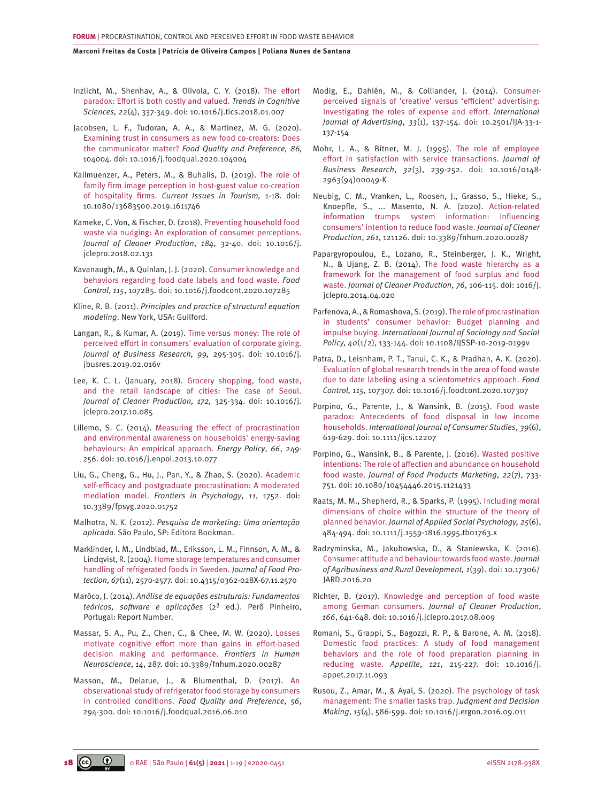<span id="page-17-0"></span>[Inzlicht, M., Shenhav, A., & Olivola, C. Y. \(2018\). The effort](https://pubmed.ncbi.nlm.nih.gov/29477776/)  [paradox: Effort is both costly and valued.](https://pubmed.ncbi.nlm.nih.gov/29477776/) *Trends in Cognitive Sciences, 2*[2\(4\), 337-349. doi: 10.1016/j.tics.2018.01.007](https://pubmed.ncbi.nlm.nih.gov/29477776/)

[Jacobsen, L. F., Tudoran, A. A., & Martinez, M. G. \(2020\).](https://www.semanticscholar.org/paper/Examining-Trust-in-Consumers-as-New-Food-Does-the-Jacobsen-Tudoran/c6d5bb28ab5eeebed11010ee7dd2f0ee5dcaefdc) [Examining trust in consumers as new food co-creators: Does](https://www.semanticscholar.org/paper/Examining-Trust-in-Consumers-as-New-Food-Does-the-Jacobsen-Tudoran/c6d5bb28ab5eeebed11010ee7dd2f0ee5dcaefdc)  the communicator matter? *[Food Quality and Preference, 86,](https://www.semanticscholar.org/paper/Examining-Trust-in-Consumers-as-New-Food-Does-the-Jacobsen-Tudoran/c6d5bb28ab5eeebed11010ee7dd2f0ee5dcaefdc)*  [104004. doi: 10.1016/j.foodqual.2020.104004](https://www.semanticscholar.org/paper/Examining-Trust-in-Consumers-as-New-Food-Does-the-Jacobsen-Tudoran/c6d5bb28ab5eeebed11010ee7dd2f0ee5dcaefdc)

[Kallmuenzer, A., Peters, M., & Buhalis, D. \(2019\). The role of](https://www.academia.edu/39090405/Kallmuenzer_A_Peters_M_Buhalis_D_2019_The_role_of_family_firm_image_perception_in_host_guest_value_co_creation_of_hospitality_firms_Current_Issues_in_Tourism_https_doi_org_10_1080_13683500_2019_1611746)  [family firm image perception in host-guest value co-creation](https://www.academia.edu/39090405/Kallmuenzer_A_Peters_M_Buhalis_D_2019_The_role_of_family_firm_image_perception_in_host_guest_value_co_creation_of_hospitality_firms_Current_Issues_in_Tourism_https_doi_org_10_1080_13683500_2019_1611746)  of hospitality firms. *[Current Issues in Tourism,](https://www.academia.edu/39090405/Kallmuenzer_A_Peters_M_Buhalis_D_2019_The_role_of_family_firm_image_perception_in_host_guest_value_co_creation_of_hospitality_firms_Current_Issues_in_Tourism_https_doi_org_10_1080_13683500_2019_1611746)* 1-18. doi: [10.1080/13683500.2019.1611746](https://www.academia.edu/39090405/Kallmuenzer_A_Peters_M_Buhalis_D_2019_The_role_of_family_firm_image_perception_in_host_guest_value_co_creation_of_hospitality_firms_Current_Issues_in_Tourism_https_doi_org_10_1080_13683500_2019_1611746)

[Kameke, C. Von, & Fischer, D. \(2018\). Preventing household food](https://www.sciencedirect.com/science/article/abs/pii/S0959652618304438)  [waste via nudging: An exploration of consumer perceptions.](https://www.sciencedirect.com/science/article/abs/pii/S0959652618304438) *[Journal of Cleaner Production](https://www.sciencedirect.com/science/article/abs/pii/S0959652618304438)*, *184*, 32-40. doi: 10.1016/j. [jclepro.2018.02.131](https://www.sciencedirect.com/science/article/abs/pii/S0959652618304438)

[Kavanaugh, M., & Quinlan, J. J. \(2020\). Consumer knowledge and](https://www.sciencedirect.com/science/article/abs/pii/S0956713520302012)  [behaviors regarding food date labels and food waste.](https://www.sciencedirect.com/science/article/abs/pii/S0956713520302012) *Food Control*, *115*[, 107285. doi: 10.1016/j.foodcont.2020.107285](https://www.sciencedirect.com/science/article/abs/pii/S0956713520302012)

Kline, R. B. (2011). *Principles and practice of structural equation modeling*. New York, USA: Guilford.

[Langan, R., & Kumar, A. \(2019\). Time versus money: The role of](https://www.sciencedirect.com/science/article/abs/pii/S0148296319301067)  [perceived effort in consumers' evaluation of corporate giving.](https://www.sciencedirect.com/science/article/abs/pii/S0148296319301067) *[Journal of Business Research, 99,](https://www.sciencedirect.com/science/article/abs/pii/S0148296319301067)* 295-305. doi: 10.1016/j. [jbusres.2019.02.016](https://www.sciencedirect.com/science/article/abs/pii/S0148296319301067)v

[Lee, K. C. L. \(January, 2018\). Grocery shopping, food waste,](https://www.sciencedirect.com/science/article/abs/pii/S095965261732379X?via%3Dihub) [and the retail landscape of cities: The case of Seoul.](https://www.sciencedirect.com/science/article/abs/pii/S095965261732379X?via%3Dihub) *[Journal of Cleaner Production, 172,](https://www.sciencedirect.com/science/article/abs/pii/S095965261732379X?via%3Dihub)* 325-334. doi: 10.1016/j. [jclepro.2017.10.085](https://www.sciencedirect.com/science/article/abs/pii/S095965261732379X?via%3Dihub)

[Lillemo, S. C. \(2014\). Measuring the effect of procrastination](https://www.sciencedirect.com/science/article/abs/pii/S0301421513011026)  [and environmental awareness on households' energy-saving](https://www.sciencedirect.com/science/article/abs/pii/S0301421513011026)  [behaviours: An empirical approach.](https://www.sciencedirect.com/science/article/abs/pii/S0301421513011026) *Energy Policy*, *66*, 249- [256. doi: 10.1016/j.enpol.2013.10.077](https://www.sciencedirect.com/science/article/abs/pii/S0301421513011026)

[Liu, G., Cheng, G., Hu, J., Pan, Y., & Zhao, S. \(2020\). Academic](https://www.researchgate.net/publication/343186888_Academic_Self-Efficacy_and_Postgraduate_Procrastination_A_Moderated_Mediation_Model/fulltext/5f3524ca92851cd302f16428/Academic-Self-Efficacy-and-Postgraduate-Procrastination-A-Moderated-Mediation-Model.pdf)  [self-efficacy and postgraduate procrastination: A moderated](https://www.researchgate.net/publication/343186888_Academic_Self-Efficacy_and_Postgraduate_Procrastination_A_Moderated_Mediation_Model/fulltext/5f3524ca92851cd302f16428/Academic-Self-Efficacy-and-Postgraduate-Procrastination-A-Moderated-Mediation-Model.pdf)  mediation model. *[Frontiers in Psychology](https://www.researchgate.net/publication/343186888_Academic_Self-Efficacy_and_Postgraduate_Procrastination_A_Moderated_Mediation_Model/fulltext/5f3524ca92851cd302f16428/Academic-Self-Efficacy-and-Postgraduate-Procrastination-A-Moderated-Mediation-Model.pdf)*, *11*, 1752. doi: [10.3389/fpsyg.2020.01752](https://www.researchgate.net/publication/343186888_Academic_Self-Efficacy_and_Postgraduate_Procrastination_A_Moderated_Mediation_Model/fulltext/5f3524ca92851cd302f16428/Academic-Self-Efficacy-and-Postgraduate-Procrastination-A-Moderated-Mediation-Model.pdf)

Malhotra, N. K. (2012). *Pesquisa de marketing: Uma orientação aplicada*. São Paulo, SP: Editora Bookman.

[Marklinder, I. M., Lindblad, M., Eriksson, L. M., Finnson, A. M., &](https://meridian.allenpress.com/jfp/article/67/11/2570/169566/Home-Storage-Temperatures-and-Consumer-Handling-of)  [Lindqvist, R. \(2004\). Home storage temperatures and consumer](https://meridian.allenpress.com/jfp/article/67/11/2570/169566/Home-Storage-Temperatures-and-Consumer-Handling-of)  [handling of refrigerated foods in Sweden.](https://meridian.allenpress.com/jfp/article/67/11/2570/169566/Home-Storage-Temperatures-and-Consumer-Handling-of) *Journal of Food Protection*, *67*[\(11\), 2570-2577. doi: 10.4315/0362-028X-67.11.2570](https://meridian.allenpress.com/jfp/article/67/11/2570/169566/Home-Storage-Temperatures-and-Consumer-Handling-of)

Marôco, J. (2014). *Análise de equações estruturais: Fundamentos teóricos, software e aplicações* (2ª ed.). Perô Pinheiro, Portugal: Report Number.

[Massar, S. A., Pu, Z., Chen, C., & Chee, M. W. \(2020\). Losses](https://www.researchgate.net/publication/343025680_Losses_Motivate_Cognitive_Effort_More_Than_Gains_in_Effort-Based_Decision_Making_and_Performance/fulltext/5f19891945851515ef41dee1/Losses-Motivate-Cognitive-Effort-More-Than-Gains-in-Effort-Based-Decision-Making-and-Performance.pdf)  [motivate cognitive effort more than gains in effort-based](https://www.researchgate.net/publication/343025680_Losses_Motivate_Cognitive_Effort_More_Than_Gains_in_Effort-Based_Decision_Making_and_Performance/fulltext/5f19891945851515ef41dee1/Losses-Motivate-Cognitive-Effort-More-Than-Gains-in-Effort-Based-Decision-Making-and-Performance.pdf)  [decision making and performance.](https://www.researchgate.net/publication/343025680_Losses_Motivate_Cognitive_Effort_More_Than_Gains_in_Effort-Based_Decision_Making_and_Performance/fulltext/5f19891945851515ef41dee1/Losses-Motivate-Cognitive-Effort-More-Than-Gains-in-Effort-Based-Decision-Making-and-Performance.pdf) *Frontiers in Human Neuroscience*, *14*[, 287. doi: 10.3389/fnhum.2020.00287](https://www.researchgate.net/publication/343025680_Losses_Motivate_Cognitive_Effort_More_Than_Gains_in_Effort-Based_Decision_Making_and_Performance/fulltext/5f19891945851515ef41dee1/Losses-Motivate-Cognitive-Effort-More-Than-Gains-in-Effort-Based-Decision-Making-and-Performance.pdf)

[Masson, M., Delarue, J., & Blumenthal, D. \(2017\). An](https://www.semanticscholar.org/paper/An-observational-study-of-refrigerator-food-storage-Masson-Delarue/25f3623ff868e790b20aafff4f9ec58617e11453)  [observational study of refrigerator food storage by consumers](https://www.semanticscholar.org/paper/An-observational-study-of-refrigerator-food-storage-Masson-Delarue/25f3623ff868e790b20aafff4f9ec58617e11453)  in controlled conditions. *[Food Quality and Preference](https://www.semanticscholar.org/paper/An-observational-study-of-refrigerator-food-storage-Masson-Delarue/25f3623ff868e790b20aafff4f9ec58617e11453)*, *56*, [294-300. doi: 10.1016/j.foodqual.2016.06.010](https://www.semanticscholar.org/paper/An-observational-study-of-refrigerator-food-storage-Masson-Delarue/25f3623ff868e790b20aafff4f9ec58617e11453)

[Modig, E., Dahlén, M., & Colliander, J. \(2014\). Consumer](https://www.tandfonline.com/doi/abs/10.2501/IJA-33-1-137-154)[perceived signals of 'creative' versus 'efficient' advertising:](https://www.tandfonline.com/doi/abs/10.2501/IJA-33-1-137-154) [Investigating the roles of expense and effort.](https://www.tandfonline.com/doi/abs/10.2501/IJA-33-1-137-154) *International Journal of Advertising*, *33*[\(1\), 137-154. doi: 10.2501/IJA-33-1-](https://www.tandfonline.com/doi/abs/10.2501/IJA-33-1-137-154) [137-154](https://www.tandfonline.com/doi/abs/10.2501/IJA-33-1-137-154)

[Mohr, L. A., & Bitner, M. J. \(1995\). The role of employee](https://asu.pure.elsevier.com/en/publications/the-role-of-employee-effort-in-satisfaction-with-service-transact)  [effort in satisfaction with service transactions.](https://asu.pure.elsevier.com/en/publications/the-role-of-employee-effort-in-satisfaction-with-service-transact) *Journal of Business Research*, *32*[\(3\), 239-252. doi: 10.1016/0148-](https://asu.pure.elsevier.com/en/publications/the-role-of-employee-effort-in-satisfaction-with-service-transact) [2963\(94\)00049-K](https://asu.pure.elsevier.com/en/publications/the-role-of-employee-effort-in-satisfaction-with-service-transact)

[Neubig, C. M., Vranken, L., Roosen, J., Grasso, S., Hieke, S.,](https://linkinghub.elsevier.com/retrieve/pii/S0959652620311732)  [Knoepfle, S., ... Masento, N. A. \(2020\). Action-related](https://linkinghub.elsevier.com/retrieve/pii/S0959652620311732) [information trumps system information: Influencing](https://linkinghub.elsevier.com/retrieve/pii/S0959652620311732) [consumers' intention to reduce food waste.](https://linkinghub.elsevier.com/retrieve/pii/S0959652620311732) *Journal of Cleaner Production*, *261*[, 121126. doi: 10.3389/fnhum.2020.00287](https://linkinghub.elsevier.com/retrieve/pii/S0959652620311732)

[Papargyropoulou, E., Lozano, R., Steinberger, J. K., Wright,](https://www.sciencedirect.com/science/article/abs/pii/S0959652614003680)  [N., & Ujang, Z. B. \(2014\). The food waste hierarchy as a](https://www.sciencedirect.com/science/article/abs/pii/S0959652614003680) [framework for the management of food surplus and food](https://www.sciencedirect.com/science/article/abs/pii/S0959652614003680)  waste. *[Journal of Cleaner Production](https://www.sciencedirect.com/science/article/abs/pii/S0959652614003680)*, *76*, 106-115. doi: 1016/j. [jclepro.2014.04.020](https://www.sciencedirect.com/science/article/abs/pii/S0959652614003680)

[Parfenova, A., & Romashova, S. \(2019\). The role of procrastination](https://www.emerald.com/insight/content/doi/10.1108/IJSSP-10-2019-0199/full/html) [in students' consumer behavior: Budget planning and](https://www.emerald.com/insight/content/doi/10.1108/IJSSP-10-2019-0199/full/html)  impulse buying. *[International Journal of Sociology and Social](https://www.emerald.com/insight/content/doi/10.1108/IJSSP-10-2019-0199/full/html) Policy, 40*[\(1/2\), 133-144. doi: 10.1108/IJSSP-10-2019-0199v](https://www.emerald.com/insight/content/doi/10.1108/IJSSP-10-2019-0199/full/html)

[Patra, D., Leisnham, P. T., Tanui, C. K., & Pradhan, A. K. \(2020\).](https://linkinghub.elsevier.com/retrieve/pii/S0956713520302231)  [Evaluation of global research trends in the area of food waste](https://linkinghub.elsevier.com/retrieve/pii/S0956713520302231)  [due to date labeling using a scientometrics approach.](https://linkinghub.elsevier.com/retrieve/pii/S0956713520302231) *Food Control, 115*[, 107307. doi: 10.1016/j.foodcont.2020.107307](https://linkinghub.elsevier.com/retrieve/pii/S0956713520302231)

[Porpino, G., Parente, J., & Wansink, B. \(2015\). Food waste](https://doi.org/10.1111/ijcs.12207)  [paradox: Antecedents of food disposal in low income](https://doi.org/10.1111/ijcs.12207)  households. *[International Journal of Consumer Studies](https://doi.org/10.1111/ijcs.12207)*, *39*(6), [619-629. doi: 10.1111/ijcs.12207](https://doi.org/10.1111/ijcs.12207)

[Porpino, G., Wansink, B., & Parente, J. \(2016\). Wasted positive](https://www.tandfonline.com/doi/abs/10.1080/10454446.2015.1121433?journalCode=wfpm20)  [intentions: The role of affection and abundance on household](https://www.tandfonline.com/doi/abs/10.1080/10454446.2015.1121433?journalCode=wfpm20) food waste. *[Journal of Food Products Marketing](https://www.tandfonline.com/doi/abs/10.1080/10454446.2015.1121433?journalCode=wfpm20)*, *22*(7), 733- [751. doi: 10.1080/10454446.2015.1121433](https://www.tandfonline.com/doi/abs/10.1080/10454446.2015.1121433?journalCode=wfpm20)

[Raats, M. M., Shepherd, R., & Sparks, P. \(1995\). Including moral](https://onlinelibrary.wiley.com/doi/abs/10.1111/j.1559-1816.1995.tb01763.x)  [dimensions of choice within the structure of the theory of](https://onlinelibrary.wiley.com/doi/abs/10.1111/j.1559-1816.1995.tb01763.x) planned behavior. *[Journal of Applied Social Psychology, 25](https://onlinelibrary.wiley.com/doi/abs/10.1111/j.1559-1816.1995.tb01763.x)*(6), [484-494. doi: 10.1111/j.1559-1816.1995.tb01763.x](https://onlinelibrary.wiley.com/doi/abs/10.1111/j.1559-1816.1995.tb01763.x)

[Radzyminska, M., Jakubowska, D., & Staniewska, K. \(2016\).](http://www1.up.poznan.pl/jard/index.php/jard/article/view/170)  [Consumer attitude and behaviour towards food waste.](http://www1.up.poznan.pl/jard/index.php/jard/article/view/170) *Journal [of Agribusiness and Rural Development, 1](http://www1.up.poznan.pl/jard/index.php/jard/article/view/170)*(39). doi: 10.17306/ [JARD.2016.20](http://www1.up.poznan.pl/jard/index.php/jard/article/view/170)

[Richter, B. \(2017\). Knowledge and perception of food waste](https://www.sciencedirect.com/science/article/abs/pii/S0959652617317249)  among German consumers. *[Journal of Cleaner Production](https://www.sciencedirect.com/science/article/abs/pii/S0959652617317249)*, *166*[, 641-648. doi: 10.1016/j.jclepro.2017.08.009](https://www.sciencedirect.com/science/article/abs/pii/S0959652617317249)

[Romani, S., Grappi, S., Bagozzi, R. P., & Barone, A. M. \(2018\).](https://www.sciencedirect.com/science/article/abs/pii/S0195666317308516)  [Domestic food practices: A study of food management](https://www.sciencedirect.com/science/article/abs/pii/S0195666317308516) [behaviors and the role of food preparation planning in](https://www.sciencedirect.com/science/article/abs/pii/S0195666317308516) reducing waste. *Appetite*, *121*[, 215-227. doi: 10.1016/j.](https://www.sciencedirect.com/science/article/abs/pii/S0195666317308516) [appet.2017.11.093](https://www.sciencedirect.com/science/article/abs/pii/S0195666317308516)

[Rusou, Z., Amar, M., & Ayal, S. \(2020\). The psychology of task](http://decisionsciencenews.com/sjdm/journal.sjdm.org/) [management: The smaller tasks trap.](http://decisionsciencenews.com/sjdm/journal.sjdm.org/) *Judgment and Decision Making*, *15*[\(4\), 586-599. doi: 10.1016/j.ergon.2016.09.011](http://decisionsciencenews.com/sjdm/journal.sjdm.org/)

**18 CO RAE | São Paulo | 61(5) | 2021** | 1-19 | e2020-0451 eISSN 2178-938X eISSN 2178-938X